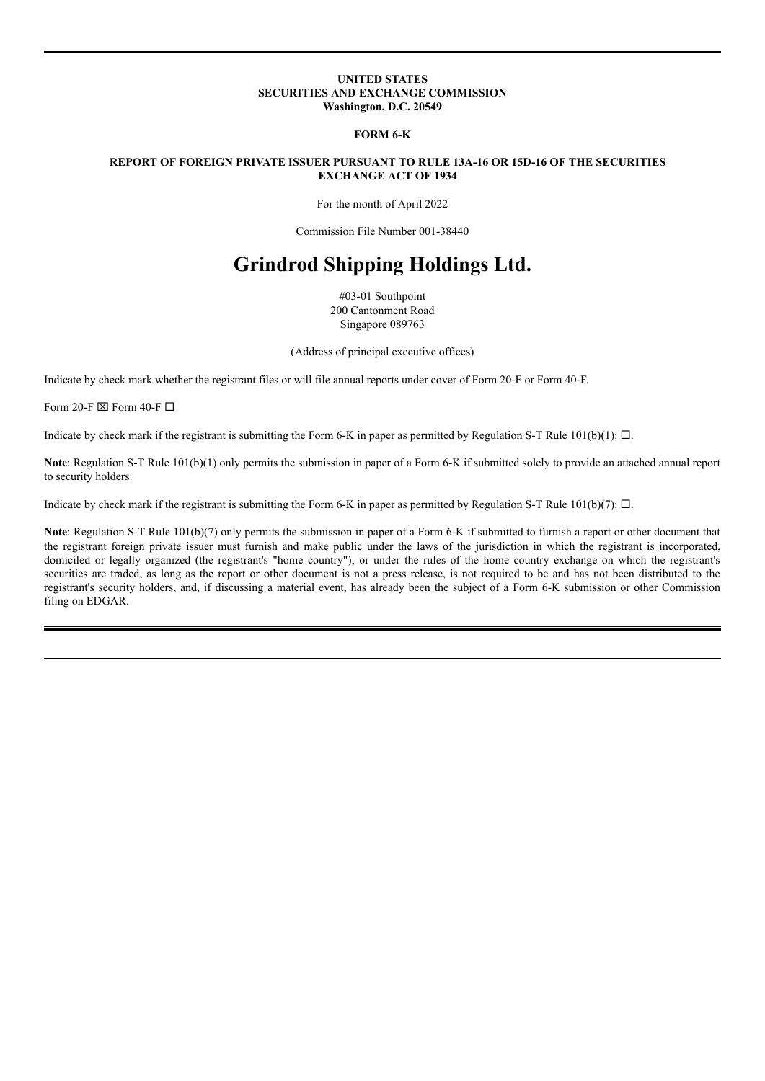# **UNITED STATES SECURITIES AND EXCHANGE COMMISSION Washington, D.C. 20549**

# **FORM 6-K**

# **REPORT OF FOREIGN PRIVATE ISSUER PURSUANT TO RULE 13A-16 OR 15D-16 OF THE SECURITIES EXCHANGE ACT OF 1934**

For the month of April 2022

Commission File Number 001-38440

# **Grindrod Shipping Holdings Ltd.**

#03-01 Southpoint 200 Cantonment Road Singapore 089763

(Address of principal executive offices)

Indicate by check mark whether the registrant files or will file annual reports under cover of Form 20-F or Form 40-F.

Form 20-F  $\boxtimes$  Form 40-F  $\Box$ 

Indicate by check mark if the registrant is submitting the Form 6-K in paper as permitted by Regulation S-T Rule  $101(b)(1)$ :  $\Box$ .

**Note**: Regulation S-T Rule 101(b)(1) only permits the submission in paper of a Form 6-K if submitted solely to provide an attached annual report to security holders.

Indicate by check mark if the registrant is submitting the Form 6-K in paper as permitted by Regulation S-T Rule  $101(b)(7)$ :  $\Box$ .

**Note**: Regulation S-T Rule 101(b)(7) only permits the submission in paper of a Form 6-K if submitted to furnish a report or other document that the registrant foreign private issuer must furnish and make public under the laws of the jurisdiction in which the registrant is incorporated, domiciled or legally organized (the registrant's "home country"), or under the rules of the home country exchange on which the registrant's securities are traded, as long as the report or other document is not a press release, is not required to be and has not been distributed to the registrant's security holders, and, if discussing a material event, has already been the subject of a Form 6-K submission or other Commission filing on EDGAR.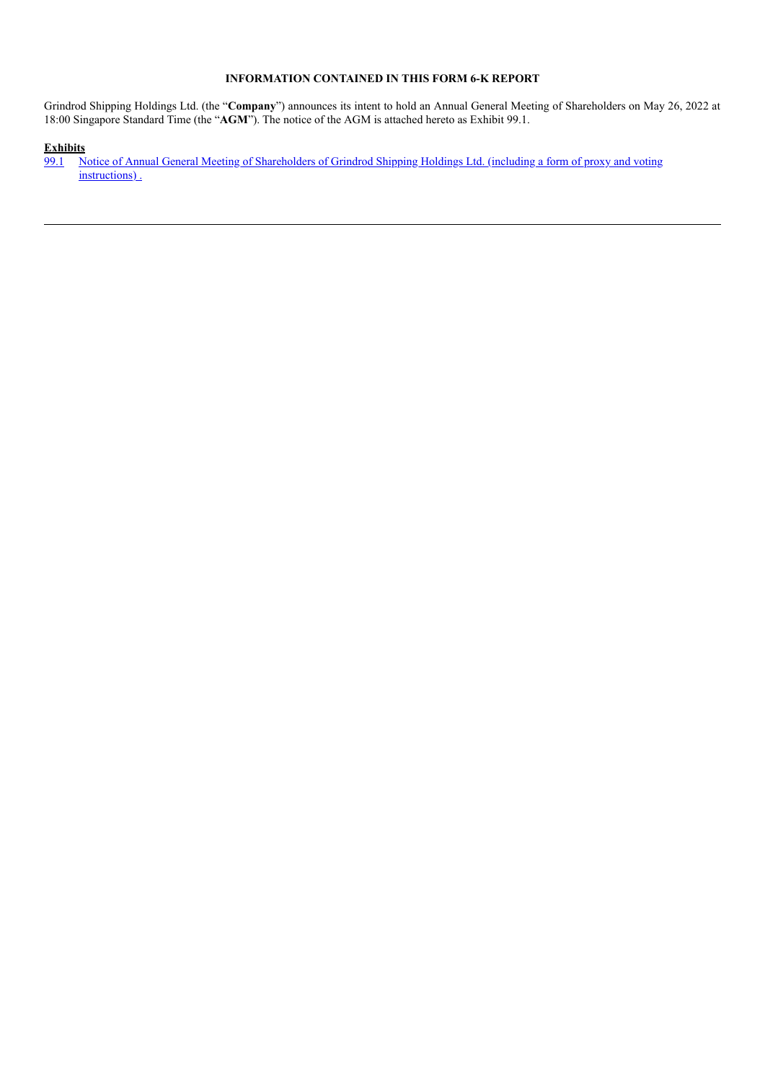# **INFORMATION CONTAINED IN THIS FORM 6-K REPORT**

Grindrod Shipping Holdings Ltd. (the "**Company**") announces its intent to hold an Annual General Meeting of Shareholders on May 26, 2022 at 18:00 Singapore Standard Time (the "**AGM**"). The notice of the AGM is attached hereto as Exhibit 99.1.

# **Exhibits**

[99.1](file:///X:/Live%20Jobs/Retail%20Edgar/Go-Filer/GRINDROD%20SHIPPING/91%20-%20gsh090%20-%206-K%20-%2001-04-2022/Round%20-%2002%20-%20Draft%20Changes%20-%2004-03-2022/Final/gsh090_ex99-1.htm) [Notice of Annual General Meeting of Shareholders of Grindrod Shipping Holdings Ltd. \(including a form of proxy and voting](file:///X:/Live%20Jobs/Retail%20Edgar/Go-Filer/GRINDROD%20SHIPPING/91%20-%20gsh090%20-%206-K%20-%2001-04-2022/Round%20-%2002%20-%20Draft%20Changes%20-%2004-03-2022/Final/gsh090_ex99-1.htm) instructions).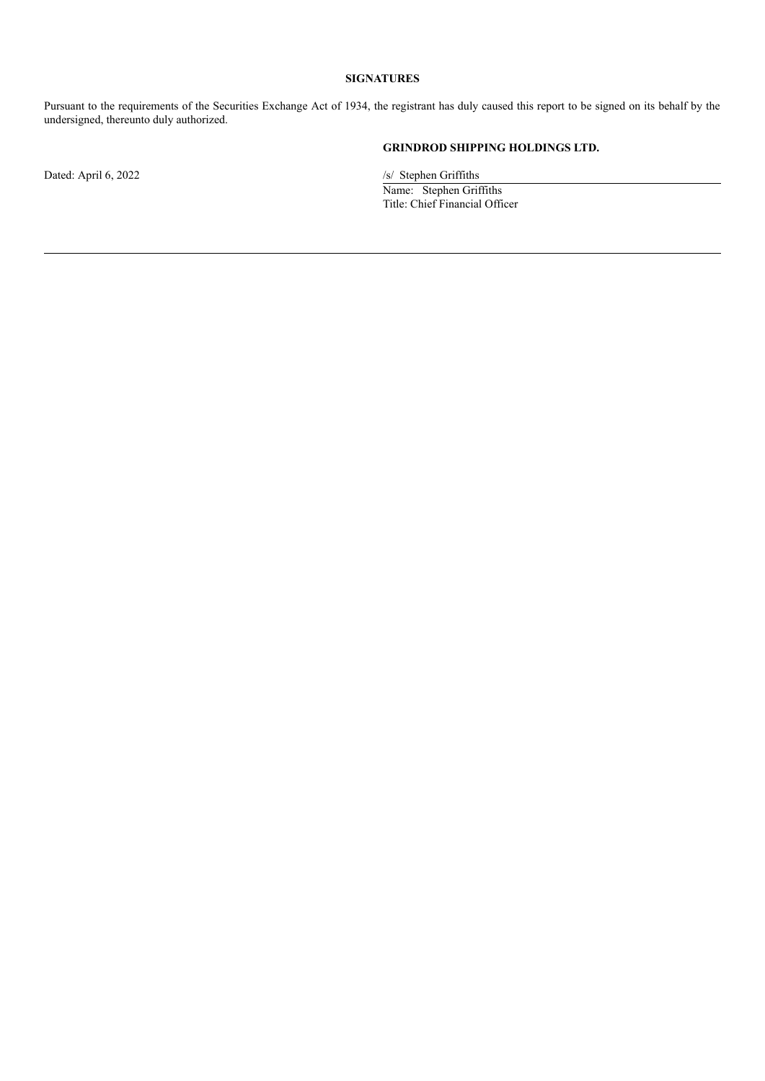# **SIGNATURES**

Pursuant to the requirements of the Securities Exchange Act of 1934, the registrant has duly caused this report to be signed on its behalf by the undersigned, thereunto duly authorized.

# **GRINDROD SHIPPING HOLDINGS LTD.**

Dated: April 6, 2022 /s/ Stephen Griffiths

Name: Stephen Griffiths Title: Chief Financial Officer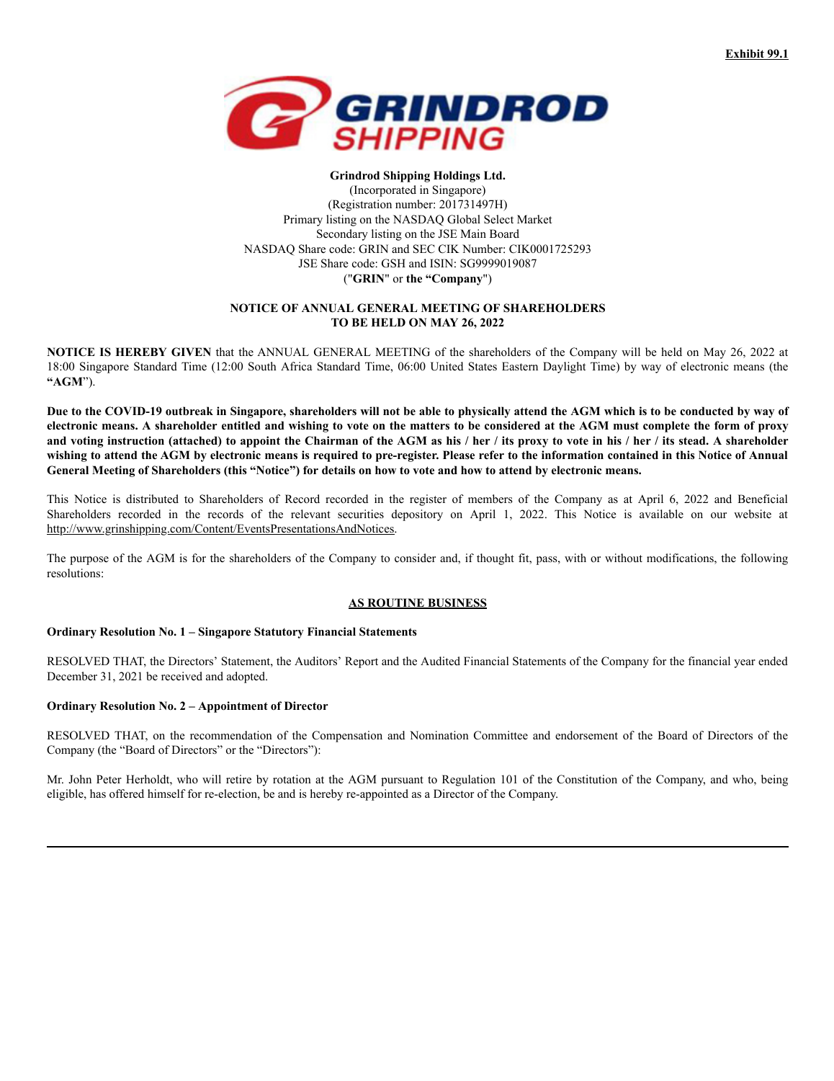

**Grindrod Shipping Holdings Ltd.** (Incorporated in Singapore) (Registration number: 201731497H) Primary listing on the NASDAQ Global Select Market Secondary listing on the JSE Main Board NASDAQ Share code: GRIN and SEC CIK Number: CIK0001725293 JSE Share code: GSH and ISIN: SG9999019087 ("**GRIN**" or **the "Company**")

# **NOTICE OF ANNUAL GENERAL MEETING OF SHAREHOLDERS TO BE HELD ON MAY 26, 2022**

**NOTICE IS HEREBY GIVEN** that the ANNUAL GENERAL MEETING of the shareholders of the Company will be held on May 26, 2022 at 18:00 Singapore Standard Time (12:00 South Africa Standard Time, 06:00 United States Eastern Daylight Time) by way of electronic means (the **"AGM**").

**Due to the COVID-19 outbreak in Singapore, shareholders will not be able to physically attend the AGM which is to be conducted by way of electronic means. A shareholder entitled and wishing to vote on the matters to be considered at the AGM must complete the form of proxy and voting instruction (attached) to appoint the Chairman of the AGM as his / her / its proxy to vote in his / her / its stead. A shareholder wishing to attend the AGM by electronic means is required to pre-register. Please refer to the information contained in this Notice of Annual General Meeting of Shareholders (this "Notice") for details on how to vote and how to attend by electronic means.**

This Notice is distributed to Shareholders of Record recorded in the register of members of the Company as at April 6, 2022 and Beneficial Shareholders recorded in the records of the relevant securities depository on April 1, 2022. This Notice is available on our website at http://www.grinshipping.com/Content/EventsPresentationsAndNotices.

The purpose of the AGM is for the shareholders of the Company to consider and, if thought fit, pass, with or without modifications, the following resolutions:

# **AS ROUTINE BUSINESS**

## **Ordinary Resolution No. 1 – Singapore Statutory Financial Statements**

RESOLVED THAT, the Directors' Statement, the Auditors' Report and the Audited Financial Statements of the Company for the financial year ended December 31, 2021 be received and adopted.

## **Ordinary Resolution No. 2 – Appointment of Director**

RESOLVED THAT, on the recommendation of the Compensation and Nomination Committee and endorsement of the Board of Directors of the Company (the "Board of Directors" or the "Directors"):

Mr. John Peter Herholdt, who will retire by rotation at the AGM pursuant to Regulation 101 of the Constitution of the Company, and who, being eligible, has offered himself for re-election, be and is hereby re-appointed as a Director of the Company.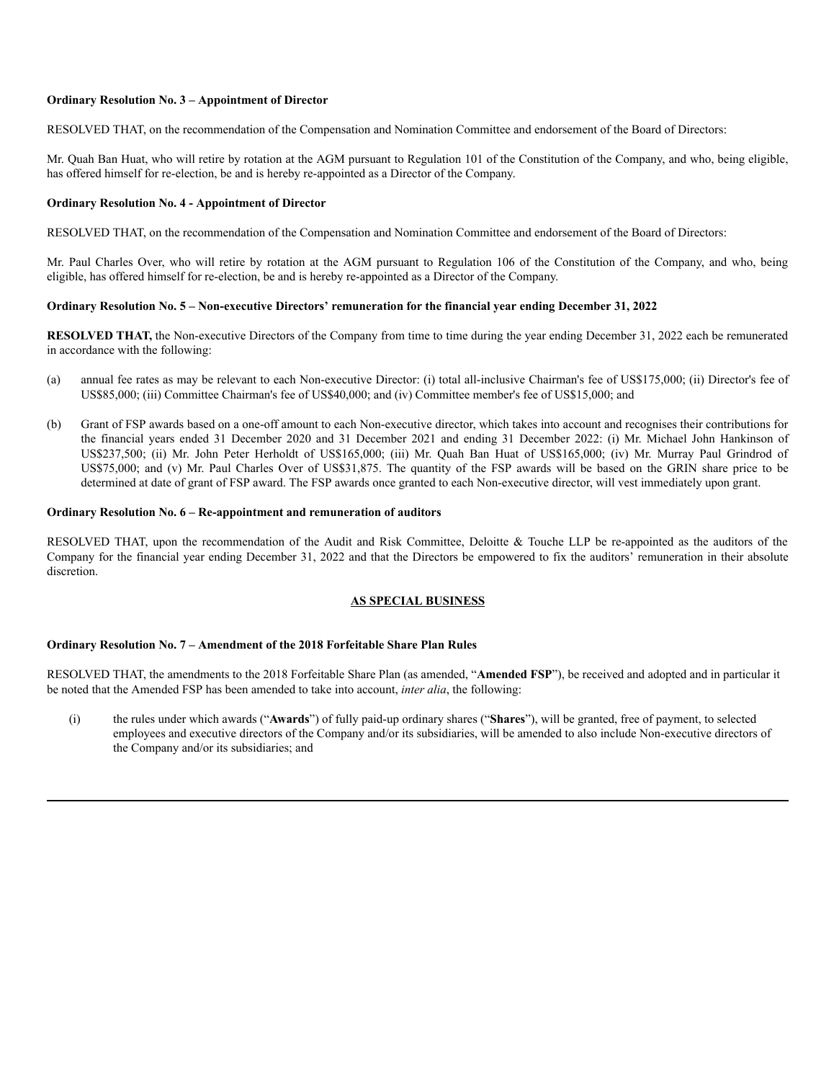# **Ordinary Resolution No. 3 – Appointment of Director**

RESOLVED THAT, on the recommendation of the Compensation and Nomination Committee and endorsement of the Board of Directors:

Mr. Quah Ban Huat, who will retire by rotation at the AGM pursuant to Regulation 101 of the Constitution of the Company, and who, being eligible, has offered himself for re-election, be and is hereby re-appointed as a Director of the Company.

# **Ordinary Resolution No. 4 - Appointment of Director**

RESOLVED THAT, on the recommendation of the Compensation and Nomination Committee and endorsement of the Board of Directors:

Mr. Paul Charles Over, who will retire by rotation at the AGM pursuant to Regulation 106 of the Constitution of the Company, and who, being eligible, has offered himself for re-election, be and is hereby re-appointed as a Director of the Company.

# **Ordinary Resolution No. 5 – Non-executive Directors' remuneration for the financial year ending December 31, 2022**

**RESOLVED THAT,** the Non-executive Directors of the Company from time to time during the year ending December 31, 2022 each be remunerated in accordance with the following:

- (a) annual fee rates as may be relevant to each Non-executive Director: (i) total all-inclusive Chairman's fee of US\$175,000; (ii) Director's fee of US\$85,000; (iii) Committee Chairman's fee of US\$40,000; and (iv) Committee member's fee of US\$15,000; and
- (b) Grant of FSP awards based on a one-off amount to each Non-executive director, which takes into account and recognises their contributions for the financial years ended 31 December 2020 and 31 December 2021 and ending 31 December 2022: (i) Mr. Michael John Hankinson of US\$237,500; (ii) Mr. John Peter Herholdt of US\$165,000; (iii) Mr. Quah Ban Huat of US\$165,000; (iv) Mr. Murray Paul Grindrod of US\$75,000; and (v) Mr. Paul Charles Over of US\$31,875. The quantity of the FSP awards will be based on the GRIN share price to be determined at date of grant of FSP award. The FSP awards once granted to each Non-executive director, will vest immediately upon grant.

# **Ordinary Resolution No. 6 – Re-appointment and remuneration of auditors**

RESOLVED THAT, upon the recommendation of the Audit and Risk Committee, Deloitte & Touche LLP be re-appointed as the auditors of the Company for the financial year ending December 31, 2022 and that the Directors be empowered to fix the auditors' remuneration in their absolute discretion.

# **AS SPECIAL BUSINESS**

# **Ordinary Resolution No. 7 – Amendment of the 2018 Forfeitable Share Plan Rules**

RESOLVED THAT, the amendments to the 2018 Forfeitable Share Plan (as amended, "**Amended FSP**"), be received and adopted and in particular it be noted that the Amended FSP has been amended to take into account, *inter alia*, the following:

(i) the rules under which awards ("**Awards**") of fully paid-up ordinary shares ("**Shares**"), will be granted, free of payment, to selected employees and executive directors of the Company and/or its subsidiaries, will be amended to also include Non-executive directors of the Company and/or its subsidiaries; and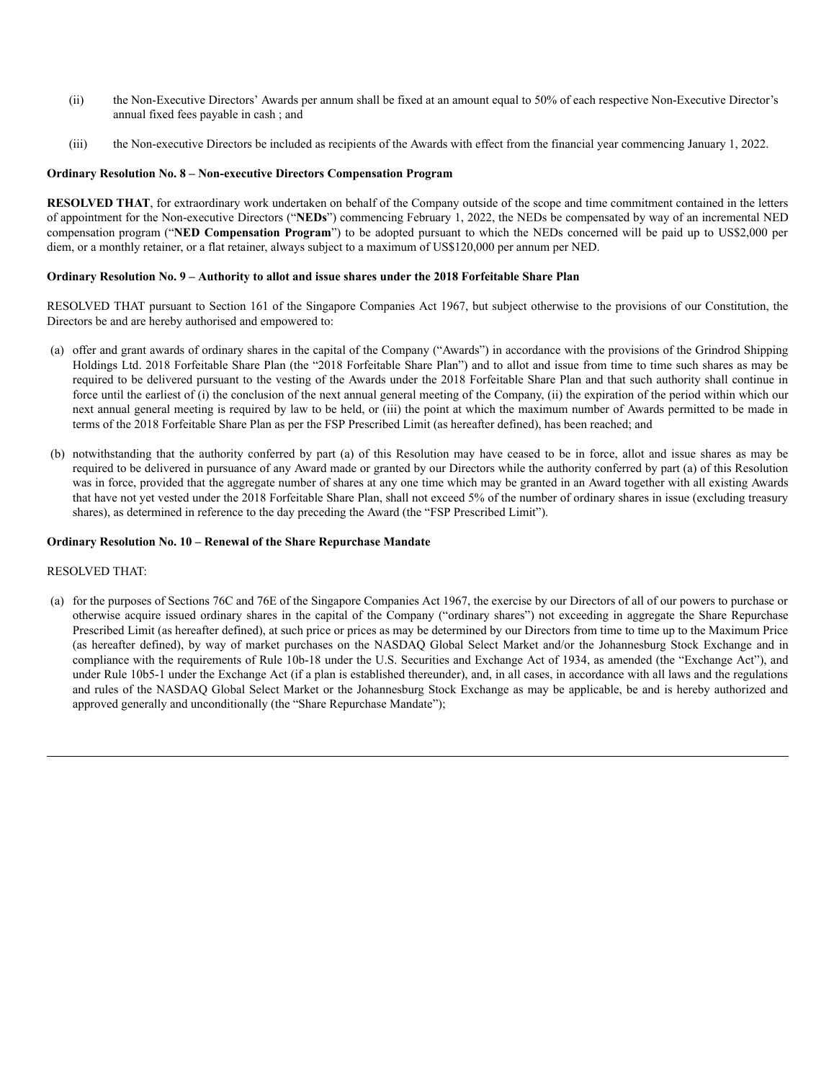- (ii) the Non-Executive Directors' Awards per annum shall be fixed at an amount equal to 50% of each respective Non-Executive Director's annual fixed fees payable in cash ; and
- (iii) the Non-executive Directors be included as recipients of the Awards with effect from the financial year commencing January 1, 2022.

# **Ordinary Resolution No. 8 – Non-executive Directors Compensation Program**

**RESOLVED THAT**, for extraordinary work undertaken on behalf of the Company outside of the scope and time commitment contained in the letters of appointment for the Non-executive Directors ("**NEDs**") commencing February 1, 2022, the NEDs be compensated by way of an incremental NED compensation program ("**NED Compensation Program**") to be adopted pursuant to which the NEDs concerned will be paid up to US\$2,000 per diem, or a monthly retainer, or a flat retainer, always subject to a maximum of US\$120,000 per annum per NED.

# **Ordinary Resolution No. 9 – Authority to allot and issue shares under the 2018 Forfeitable Share Plan**

RESOLVED THAT pursuant to Section 161 of the Singapore Companies Act 1967, but subject otherwise to the provisions of our Constitution, the Directors be and are hereby authorised and empowered to:

- (a) offer and grant awards of ordinary shares in the capital of the Company ("Awards") in accordance with the provisions of the Grindrod Shipping Holdings Ltd. 2018 Forfeitable Share Plan (the "2018 Forfeitable Share Plan") and to allot and issue from time to time such shares as may be required to be delivered pursuant to the vesting of the Awards under the 2018 Forfeitable Share Plan and that such authority shall continue in force until the earliest of (i) the conclusion of the next annual general meeting of the Company, (ii) the expiration of the period within which our next annual general meeting is required by law to be held, or (iii) the point at which the maximum number of Awards permitted to be made in terms of the 2018 Forfeitable Share Plan as per the FSP Prescribed Limit (as hereafter defined), has been reached; and
- (b) notwithstanding that the authority conferred by part (a) of this Resolution may have ceased to be in force, allot and issue shares as may be required to be delivered in pursuance of any Award made or granted by our Directors while the authority conferred by part (a) of this Resolution was in force, provided that the aggregate number of shares at any one time which may be granted in an Award together with all existing Awards that have not yet vested under the 2018 Forfeitable Share Plan, shall not exceed 5% of the number of ordinary shares in issue (excluding treasury shares), as determined in reference to the day preceding the Award (the "FSP Prescribed Limit").

# **Ordinary Resolution No. 10 – Renewal of the Share Repurchase Mandate**

# RESOLVED THAT:

(a) for the purposes of Sections 76C and 76E of the Singapore Companies Act 1967, the exercise by our Directors of all of our powers to purchase or otherwise acquire issued ordinary shares in the capital of the Company ("ordinary shares") not exceeding in aggregate the Share Repurchase Prescribed Limit (as hereafter defined), at such price or prices as may be determined by our Directors from time to time up to the Maximum Price (as hereafter defined), by way of market purchases on the NASDAQ Global Select Market and/or the Johannesburg Stock Exchange and in compliance with the requirements of Rule 10b-18 under the U.S. Securities and Exchange Act of 1934, as amended (the "Exchange Act"), and under Rule 10b5-1 under the Exchange Act (if a plan is established thereunder), and, in all cases, in accordance with all laws and the regulations and rules of the NASDAQ Global Select Market or the Johannesburg Stock Exchange as may be applicable, be and is hereby authorized and approved generally and unconditionally (the "Share Repurchase Mandate");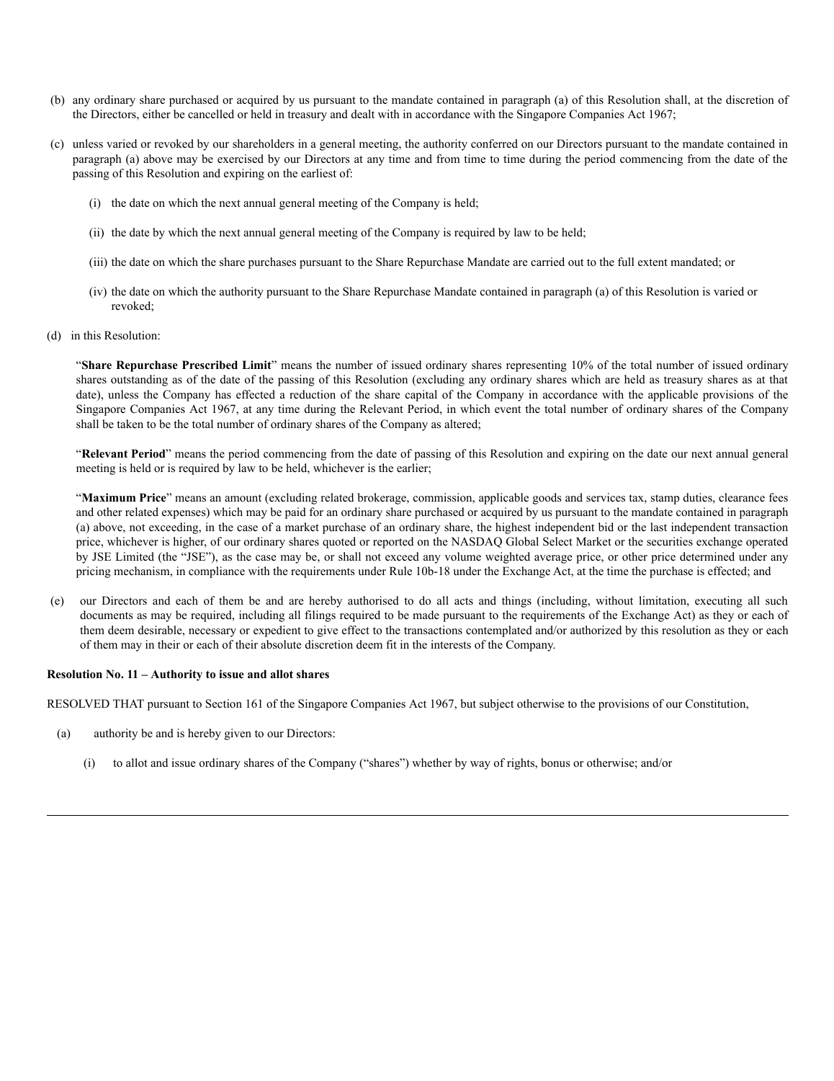- (b) any ordinary share purchased or acquired by us pursuant to the mandate contained in paragraph (a) of this Resolution shall, at the discretion of the Directors, either be cancelled or held in treasury and dealt with in accordance with the Singapore Companies Act 1967;
- (c) unless varied or revoked by our shareholders in a general meeting, the authority conferred on our Directors pursuant to the mandate contained in paragraph (a) above may be exercised by our Directors at any time and from time to time during the period commencing from the date of the passing of this Resolution and expiring on the earliest of:
	- (i) the date on which the next annual general meeting of the Company is held;
	- (ii) the date by which the next annual general meeting of the Company is required by law to be held;
	- (iii) the date on which the share purchases pursuant to the Share Repurchase Mandate are carried out to the full extent mandated; or
	- (iv) the date on which the authority pursuant to the Share Repurchase Mandate contained in paragraph (a) of this Resolution is varied or revoked;
- (d) in this Resolution:

"**Share Repurchase Prescribed Limit**" means the number of issued ordinary shares representing 10% of the total number of issued ordinary shares outstanding as of the date of the passing of this Resolution (excluding any ordinary shares which are held as treasury shares as at that date), unless the Company has effected a reduction of the share capital of the Company in accordance with the applicable provisions of the Singapore Companies Act 1967, at any time during the Relevant Period, in which event the total number of ordinary shares of the Company shall be taken to be the total number of ordinary shares of the Company as altered;

"**Relevant Period**" means the period commencing from the date of passing of this Resolution and expiring on the date our next annual general meeting is held or is required by law to be held, whichever is the earlier;

"**Maximum Price**" means an amount (excluding related brokerage, commission, applicable goods and services tax, stamp duties, clearance fees and other related expenses) which may be paid for an ordinary share purchased or acquired by us pursuant to the mandate contained in paragraph (a) above, not exceeding, in the case of a market purchase of an ordinary share, the highest independent bid or the last independent transaction price, whichever is higher, of our ordinary shares quoted or reported on the NASDAQ Global Select Market or the securities exchange operated by JSE Limited (the "JSE"), as the case may be, or shall not exceed any volume weighted average price, or other price determined under any pricing mechanism, in compliance with the requirements under Rule 10b-18 under the Exchange Act, at the time the purchase is effected; and

(e) our Directors and each of them be and are hereby authorised to do all acts and things (including, without limitation, executing all such documents as may be required, including all filings required to be made pursuant to the requirements of the Exchange Act) as they or each of them deem desirable, necessary or expedient to give effect to the transactions contemplated and/or authorized by this resolution as they or each of them may in their or each of their absolute discretion deem fit in the interests of the Company.

## **Resolution No. 11 – Authority to issue and allot shares**

RESOLVED THAT pursuant to Section 161 of the Singapore Companies Act 1967, but subject otherwise to the provisions of our Constitution,

- (a) authority be and is hereby given to our Directors:
	- (i) to allot and issue ordinary shares of the Company ("shares") whether by way of rights, bonus or otherwise; and/or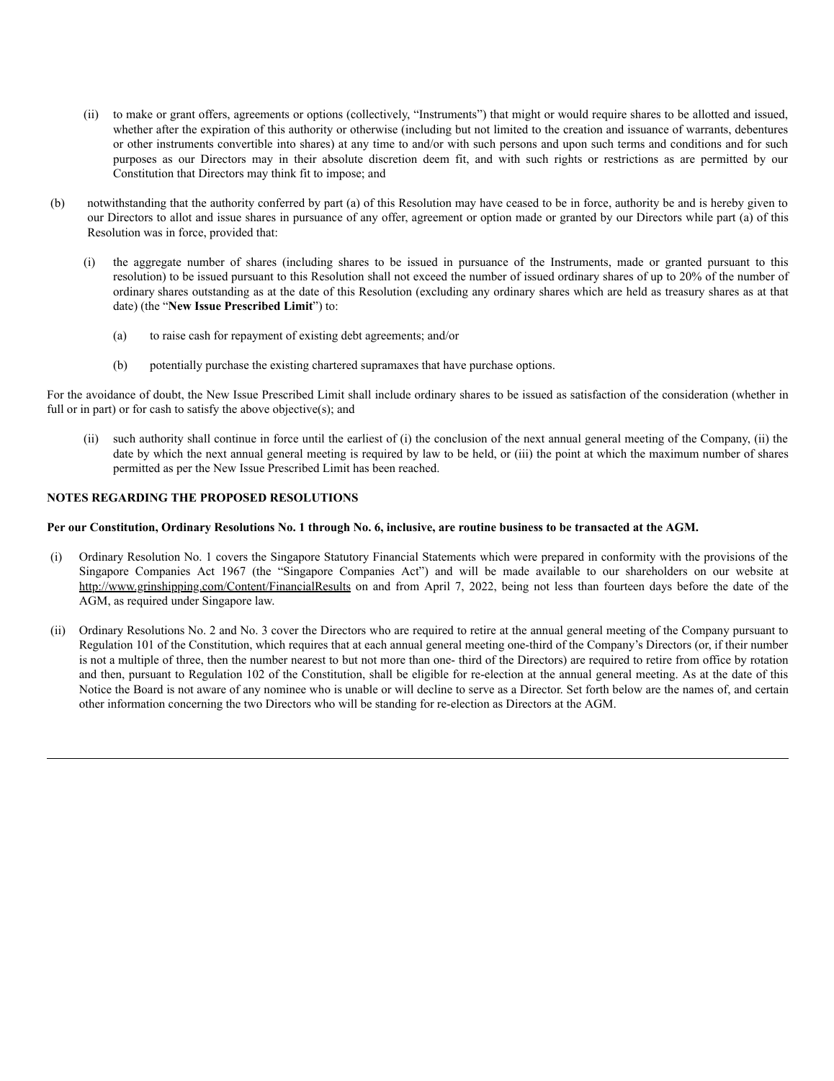- (ii) to make or grant offers, agreements or options (collectively, "Instruments") that might or would require shares to be allotted and issued, whether after the expiration of this authority or otherwise (including but not limited to the creation and issuance of warrants, debentures or other instruments convertible into shares) at any time to and/or with such persons and upon such terms and conditions and for such purposes as our Directors may in their absolute discretion deem fit, and with such rights or restrictions as are permitted by our Constitution that Directors may think fit to impose; and
- (b) notwithstanding that the authority conferred by part (a) of this Resolution may have ceased to be in force, authority be and is hereby given to our Directors to allot and issue shares in pursuance of any offer, agreement or option made or granted by our Directors while part (a) of this Resolution was in force, provided that:
	- (i) the aggregate number of shares (including shares to be issued in pursuance of the Instruments, made or granted pursuant to this resolution) to be issued pursuant to this Resolution shall not exceed the number of issued ordinary shares of up to 20% of the number of ordinary shares outstanding as at the date of this Resolution (excluding any ordinary shares which are held as treasury shares as at that date) (the "**New Issue Prescribed Limit**") to:
		- (a) to raise cash for repayment of existing debt agreements; and/or
		- (b) potentially purchase the existing chartered supramaxes that have purchase options.

For the avoidance of doubt, the New Issue Prescribed Limit shall include ordinary shares to be issued as satisfaction of the consideration (whether in full or in part) or for cash to satisfy the above objective(s); and

(ii) such authority shall continue in force until the earliest of (i) the conclusion of the next annual general meeting of the Company, (ii) the date by which the next annual general meeting is required by law to be held, or (iii) the point at which the maximum number of shares permitted as per the New Issue Prescribed Limit has been reached.

# **NOTES REGARDING THE PROPOSED RESOLUTIONS**

## **Per our Constitution, Ordinary Resolutions No. 1 through No. 6, inclusive, are routine business to be transacted at the AGM.**

- (i) Ordinary Resolution No. 1 covers the Singapore Statutory Financial Statements which were prepared in conformity with the provisions of the Singapore Companies Act 1967 (the "Singapore Companies Act") and will be made available to our shareholders on our website at http://www.grinshipping.com/Content/FinancialResults on and from April 7, 2022, being not less than fourteen days before the date of the AGM, as required under Singapore law.
- (ii) Ordinary Resolutions No. 2 and No. 3 cover the Directors who are required to retire at the annual general meeting of the Company pursuant to Regulation 101 of the Constitution, which requires that at each annual general meeting one-third of the Company's Directors (or, if their number is not a multiple of three, then the number nearest to but not more than one- third of the Directors) are required to retire from office by rotation and then, pursuant to Regulation 102 of the Constitution, shall be eligible for re-election at the annual general meeting. As at the date of this Notice the Board is not aware of any nominee who is unable or will decline to serve as a Director. Set forth below are the names of, and certain other information concerning the two Directors who will be standing for re-election as Directors at the AGM.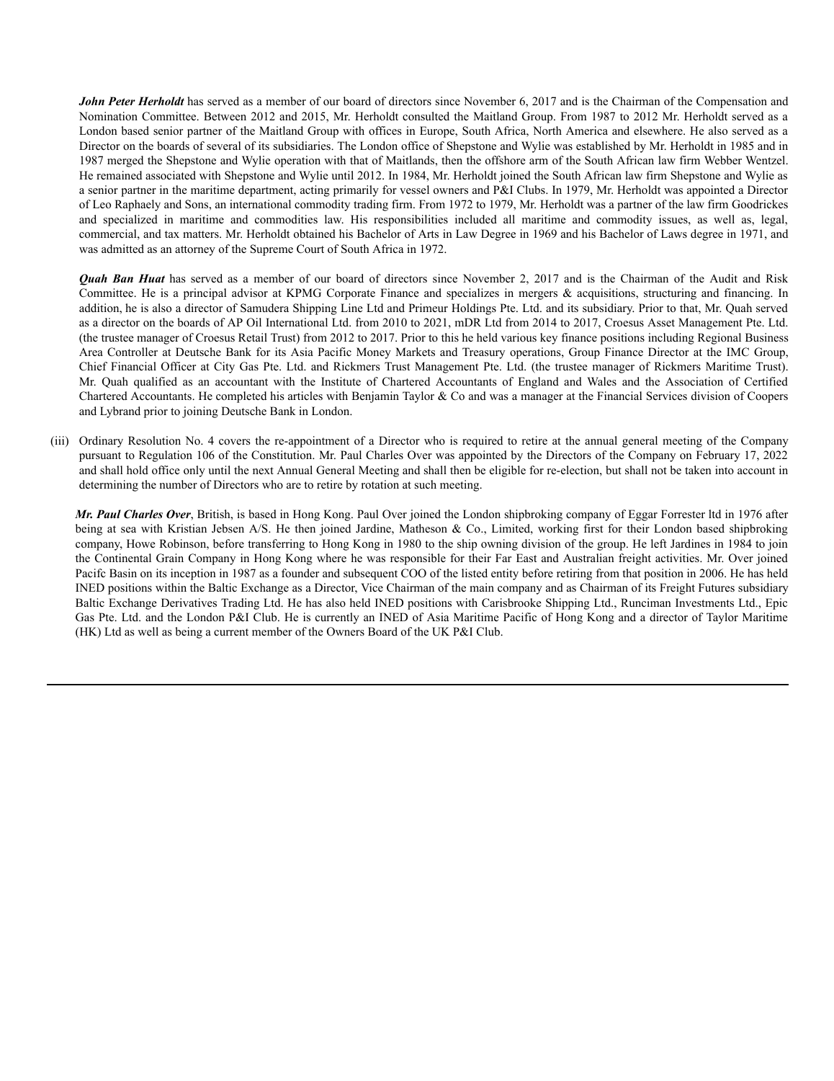*John Peter Herholdt* has served as a member of our board of directors since November 6, 2017 and is the Chairman of the Compensation and Nomination Committee. Between 2012 and 2015, Mr. Herholdt consulted the Maitland Group. From 1987 to 2012 Mr. Herholdt served as a London based senior partner of the Maitland Group with offices in Europe, South Africa, North America and elsewhere. He also served as a Director on the boards of several of its subsidiaries. The London office of Shepstone and Wylie was established by Mr. Herholdt in 1985 and in 1987 merged the Shepstone and Wylie operation with that of Maitlands, then the offshore arm of the South African law firm Webber Wentzel. He remained associated with Shepstone and Wylie until 2012. In 1984, Mr. Herholdt joined the South African law firm Shepstone and Wylie as a senior partner in the maritime department, acting primarily for vessel owners and P&I Clubs. In 1979, Mr. Herholdt was appointed a Director of Leo Raphaely and Sons, an international commodity trading firm. From 1972 to 1979, Mr. Herholdt was a partner of the law firm Goodrickes and specialized in maritime and commodities law. His responsibilities included all maritime and commodity issues, as well as, legal, commercial, and tax matters. Mr. Herholdt obtained his Bachelor of Arts in Law Degree in 1969 and his Bachelor of Laws degree in 1971, and was admitted as an attorney of the Supreme Court of South Africa in 1972.

*Quah Ban Huat* has served as a member of our board of directors since November 2, 2017 and is the Chairman of the Audit and Risk Committee. He is a principal advisor at KPMG Corporate Finance and specializes in mergers & acquisitions, structuring and financing. In addition, he is also a director of Samudera Shipping Line Ltd and Primeur Holdings Pte. Ltd. and its subsidiary. Prior to that, Mr. Quah served as a director on the boards of AP Oil International Ltd. from 2010 to 2021, mDR Ltd from 2014 to 2017, Croesus Asset Management Pte. Ltd. (the trustee manager of Croesus Retail Trust) from 2012 to 2017. Prior to this he held various key finance positions including Regional Business Area Controller at Deutsche Bank for its Asia Pacific Money Markets and Treasury operations, Group Finance Director at the IMC Group, Chief Financial Officer at City Gas Pte. Ltd. and Rickmers Trust Management Pte. Ltd. (the trustee manager of Rickmers Maritime Trust). Mr. Quah qualified as an accountant with the Institute of Chartered Accountants of England and Wales and the Association of Certified Chartered Accountants. He completed his articles with Benjamin Taylor & Co and was a manager at the Financial Services division of Coopers and Lybrand prior to joining Deutsche Bank in London.

(iii) Ordinary Resolution No. 4 covers the re-appointment of a Director who is required to retire at the annual general meeting of the Company pursuant to Regulation 106 of the Constitution. Mr. Paul Charles Over was appointed by the Directors of the Company on February 17, 2022 and shall hold office only until the next Annual General Meeting and shall then be eligible for re-election, but shall not be taken into account in determining the number of Directors who are to retire by rotation at such meeting.

*Mr. Paul Charles Over*, British, is based in Hong Kong. Paul Over joined the London shipbroking company of Eggar Forrester ltd in 1976 after being at sea with Kristian Jebsen A/S. He then joined Jardine, Matheson & Co., Limited, working first for their London based shipbroking company, Howe Robinson, before transferring to Hong Kong in 1980 to the ship owning division of the group. He left Jardines in 1984 to join the Continental Grain Company in Hong Kong where he was responsible for their Far East and Australian freight activities. Mr. Over joined Pacifc Basin on its inception in 1987 as a founder and subsequent COO of the listed entity before retiring from that position in 2006. He has held INED positions within the Baltic Exchange as a Director, Vice Chairman of the main company and as Chairman of its Freight Futures subsidiary Baltic Exchange Derivatives Trading Ltd. He has also held INED positions with Carisbrooke Shipping Ltd., Runciman Investments Ltd., Epic Gas Pte. Ltd. and the London P&I Club. He is currently an INED of Asia Maritime Pacific of Hong Kong and a director of Taylor Maritime (HK) Ltd as well as being a current member of the Owners Board of the UK P&I Club.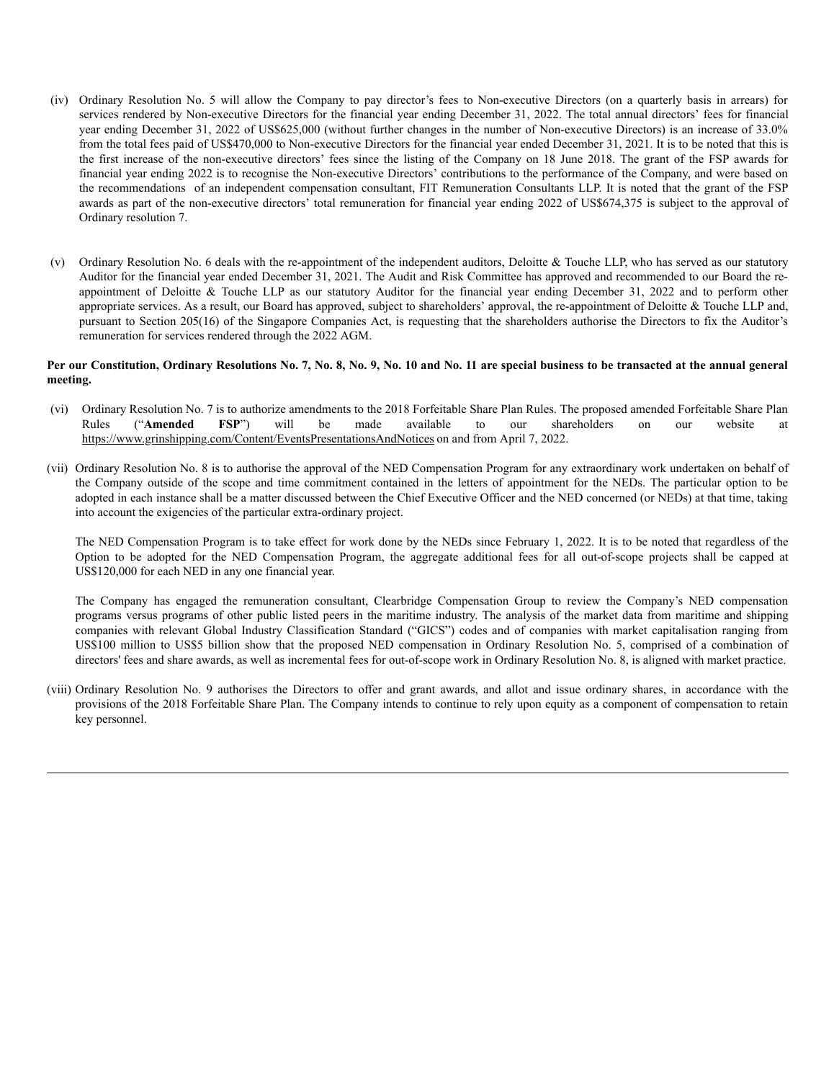- (iv) Ordinary Resolution No. 5 will allow the Company to pay director's fees to Non-executive Directors (on a quarterly basis in arrears) for services rendered by Non-executive Directors for the financial year ending December 31, 2022. The total annual directors' fees for financial year ending December 31, 2022 of US\$625,000 (without further changes in the number of Non-executive Directors) is an increase of 33.0% from the total fees paid of US\$470,000 to Non-executive Directors for the financial year ended December 31, 2021. It is to be noted that this is the first increase of the non-executive directors' fees since the listing of the Company on 18 June 2018. The grant of the FSP awards for financial year ending 2022 is to recognise the Non-executive Directors' contributions to the performance of the Company, and were based on the recommendations of an independent compensation consultant, FIT Remuneration Consultants LLP. It is noted that the grant of the FSP awards as part of the non-executive directors' total remuneration for financial year ending 2022 of US\$674,375 is subject to the approval of Ordinary resolution 7.
- (v) Ordinary Resolution No. 6 deals with the re-appointment of the independent auditors, Deloitte & Touche LLP, who has served as our statutory Auditor for the financial year ended December 31, 2021. The Audit and Risk Committee has approved and recommended to our Board the reappointment of Deloitte & Touche LLP as our statutory Auditor for the financial year ending December 31, 2022 and to perform other appropriate services. As a result, our Board has approved, subject to shareholders' approval, the re-appointment of Deloitte & Touche LLP and, pursuant to Section 205(16) of the Singapore Companies Act, is requesting that the shareholders authorise the Directors to fix the Auditor's remuneration for services rendered through the 2022 AGM.

# **Per our Constitution, Ordinary Resolutions No. 7, No. 8, No. 9, No. 10 and No. 11 are special business to be transacted at the annual general meeting.**

- (vi) Ordinary Resolution No. 7 is to authorize amendments to the 2018 Forfeitable Share Plan Rules. The proposed amended Forfeitable Share Plan Rules ("**Amended FSP**") will be made available to our shareholders on our website at https://www.grinshipping.com/Content/EventsPresentationsAndNotices on and from April 7, 2022.
- (vii) Ordinary Resolution No. 8 is to authorise the approval of the NED Compensation Program for any extraordinary work undertaken on behalf of the Company outside of the scope and time commitment contained in the letters of appointment for the NEDs. The particular option to be adopted in each instance shall be a matter discussed between the Chief Executive Officer and the NED concerned (or NEDs) at that time, taking into account the exigencies of the particular extra-ordinary project.

The NED Compensation Program is to take effect for work done by the NEDs since February 1, 2022. It is to be noted that regardless of the Option to be adopted for the NED Compensation Program, the aggregate additional fees for all out-of-scope projects shall be capped at US\$120,000 for each NED in any one financial year.

The Company has engaged the remuneration consultant, Clearbridge Compensation Group to review the Company's NED compensation programs versus programs of other public listed peers in the maritime industry. The analysis of the market data from maritime and shipping companies with relevant Global Industry Classification Standard ("GICS") codes and of companies with market capitalisation ranging from US\$100 million to US\$5 billion show that the proposed NED compensation in Ordinary Resolution No. 5, comprised of a combination of directors' fees and share awards, as well as incremental fees for out-of-scope work in Ordinary Resolution No. 8, is aligned with market practice.

(viii) Ordinary Resolution No. 9 authorises the Directors to offer and grant awards, and allot and issue ordinary shares, in accordance with the provisions of the 2018 Forfeitable Share Plan. The Company intends to continue to rely upon equity as a component of compensation to retain key personnel.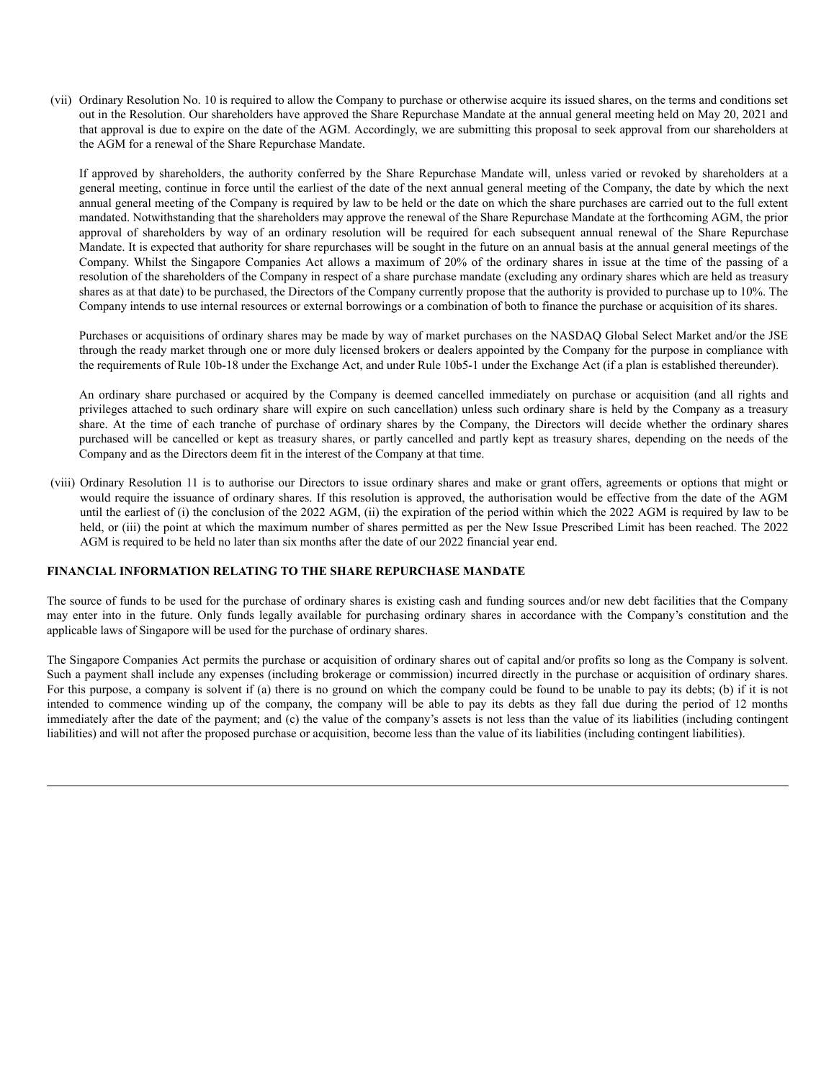(vii) Ordinary Resolution No. 10 is required to allow the Company to purchase or otherwise acquire its issued shares, on the terms and conditions set out in the Resolution. Our shareholders have approved the Share Repurchase Mandate at the annual general meeting held on May 20, 2021 and that approval is due to expire on the date of the AGM. Accordingly, we are submitting this proposal to seek approval from our shareholders at the AGM for a renewal of the Share Repurchase Mandate.

If approved by shareholders, the authority conferred by the Share Repurchase Mandate will, unless varied or revoked by shareholders at a general meeting, continue in force until the earliest of the date of the next annual general meeting of the Company, the date by which the next annual general meeting of the Company is required by law to be held or the date on which the share purchases are carried out to the full extent mandated. Notwithstanding that the shareholders may approve the renewal of the Share Repurchase Mandate at the forthcoming AGM, the prior approval of shareholders by way of an ordinary resolution will be required for each subsequent annual renewal of the Share Repurchase Mandate. It is expected that authority for share repurchases will be sought in the future on an annual basis at the annual general meetings of the Company. Whilst the Singapore Companies Act allows a maximum of 20% of the ordinary shares in issue at the time of the passing of a resolution of the shareholders of the Company in respect of a share purchase mandate (excluding any ordinary shares which are held as treasury shares as at that date) to be purchased, the Directors of the Company currently propose that the authority is provided to purchase up to 10%. The Company intends to use internal resources or external borrowings or a combination of both to finance the purchase or acquisition of its shares.

Purchases or acquisitions of ordinary shares may be made by way of market purchases on the NASDAQ Global Select Market and/or the JSE through the ready market through one or more duly licensed brokers or dealers appointed by the Company for the purpose in compliance with the requirements of Rule 10b-18 under the Exchange Act, and under Rule 10b5-1 under the Exchange Act (if a plan is established thereunder).

An ordinary share purchased or acquired by the Company is deemed cancelled immediately on purchase or acquisition (and all rights and privileges attached to such ordinary share will expire on such cancellation) unless such ordinary share is held by the Company as a treasury share. At the time of each tranche of purchase of ordinary shares by the Company, the Directors will decide whether the ordinary shares purchased will be cancelled or kept as treasury shares, or partly cancelled and partly kept as treasury shares, depending on the needs of the Company and as the Directors deem fit in the interest of the Company at that time.

(viii) Ordinary Resolution 11 is to authorise our Directors to issue ordinary shares and make or grant offers, agreements or options that might or would require the issuance of ordinary shares. If this resolution is approved, the authorisation would be effective from the date of the AGM until the earliest of (i) the conclusion of the 2022 AGM, (ii) the expiration of the period within which the 2022 AGM is required by law to be held, or (iii) the point at which the maximum number of shares permitted as per the New Issue Prescribed Limit has been reached. The 2022 AGM is required to be held no later than six months after the date of our 2022 financial year end.

# **FINANCIAL INFORMATION RELATING TO THE SHARE REPURCHASE MANDATE**

The source of funds to be used for the purchase of ordinary shares is existing cash and funding sources and/or new debt facilities that the Company may enter into in the future. Only funds legally available for purchasing ordinary shares in accordance with the Company's constitution and the applicable laws of Singapore will be used for the purchase of ordinary shares.

The Singapore Companies Act permits the purchase or acquisition of ordinary shares out of capital and/or profits so long as the Company is solvent. Such a payment shall include any expenses (including brokerage or commission) incurred directly in the purchase or acquisition of ordinary shares. For this purpose, a company is solvent if (a) there is no ground on which the company could be found to be unable to pay its debts; (b) if it is not intended to commence winding up of the company, the company will be able to pay its debts as they fall due during the period of 12 months immediately after the date of the payment; and (c) the value of the company's assets is not less than the value of its liabilities (including contingent liabilities) and will not after the proposed purchase or acquisition, become less than the value of its liabilities (including contingent liabilities).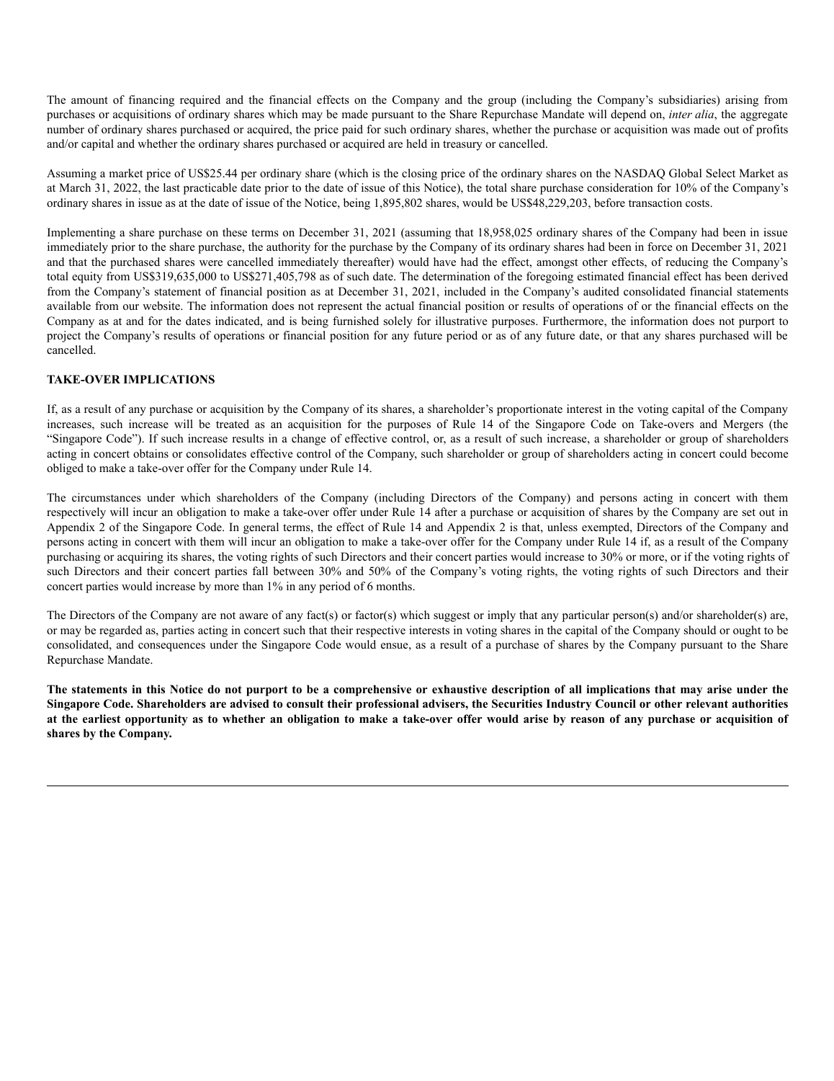The amount of financing required and the financial effects on the Company and the group (including the Company's subsidiaries) arising from purchases or acquisitions of ordinary shares which may be made pursuant to the Share Repurchase Mandate will depend on, *inter alia*, the aggregate number of ordinary shares purchased or acquired, the price paid for such ordinary shares, whether the purchase or acquisition was made out of profits and/or capital and whether the ordinary shares purchased or acquired are held in treasury or cancelled.

Assuming a market price of US\$25.44 per ordinary share (which is the closing price of the ordinary shares on the NASDAQ Global Select Market as at March 31, 2022, the last practicable date prior to the date of issue of this Notice), the total share purchase consideration for 10% of the Company's ordinary shares in issue as at the date of issue of the Notice, being 1,895,802 shares, would be US\$48,229,203, before transaction costs.

Implementing a share purchase on these terms on December 31, 2021 (assuming that 18,958,025 ordinary shares of the Company had been in issue immediately prior to the share purchase, the authority for the purchase by the Company of its ordinary shares had been in force on December 31, 2021 and that the purchased shares were cancelled immediately thereafter) would have had the effect, amongst other effects, of reducing the Company's total equity from US\$319,635,000 to US\$271,405,798 as of such date. The determination of the foregoing estimated financial effect has been derived from the Company's statement of financial position as at December 31, 2021, included in the Company's audited consolidated financial statements available from our website. The information does not represent the actual financial position or results of operations of or the financial effects on the Company as at and for the dates indicated, and is being furnished solely for illustrative purposes. Furthermore, the information does not purport to project the Company's results of operations or financial position for any future period or as of any future date, or that any shares purchased will be cancelled.

# **TAKE-OVER IMPLICATIONS**

If, as a result of any purchase or acquisition by the Company of its shares, a shareholder's proportionate interest in the voting capital of the Company increases, such increase will be treated as an acquisition for the purposes of Rule 14 of the Singapore Code on Take-overs and Mergers (the "Singapore Code"). If such increase results in a change of effective control, or, as a result of such increase, a shareholder or group of shareholders acting in concert obtains or consolidates effective control of the Company, such shareholder or group of shareholders acting in concert could become obliged to make a take-over offer for the Company under Rule 14.

The circumstances under which shareholders of the Company (including Directors of the Company) and persons acting in concert with them respectively will incur an obligation to make a take-over offer under Rule 14 after a purchase or acquisition of shares by the Company are set out in Appendix 2 of the Singapore Code. In general terms, the effect of Rule 14 and Appendix 2 is that, unless exempted, Directors of the Company and persons acting in concert with them will incur an obligation to make a take-over offer for the Company under Rule 14 if, as a result of the Company purchasing or acquiring its shares, the voting rights of such Directors and their concert parties would increase to 30% or more, or if the voting rights of such Directors and their concert parties fall between 30% and 50% of the Company's voting rights, the voting rights of such Directors and their concert parties would increase by more than 1% in any period of 6 months.

The Directors of the Company are not aware of any fact(s) or factor(s) which suggest or imply that any particular person(s) and/or shareholder(s) are, or may be regarded as, parties acting in concert such that their respective interests in voting shares in the capital of the Company should or ought to be consolidated, and consequences under the Singapore Code would ensue, as a result of a purchase of shares by the Company pursuant to the Share Repurchase Mandate.

**The statements in this Notice do not purport to be a comprehensive or exhaustive description of all implications that may arise under the Singapore Code. Shareholders are advised to consult their professional advisers, the Securities Industry Council or other relevant authorities at the earliest opportunity as to whether an obligation to make a take-over offer would arise by reason of any purchase or acquisition of shares by the Company.**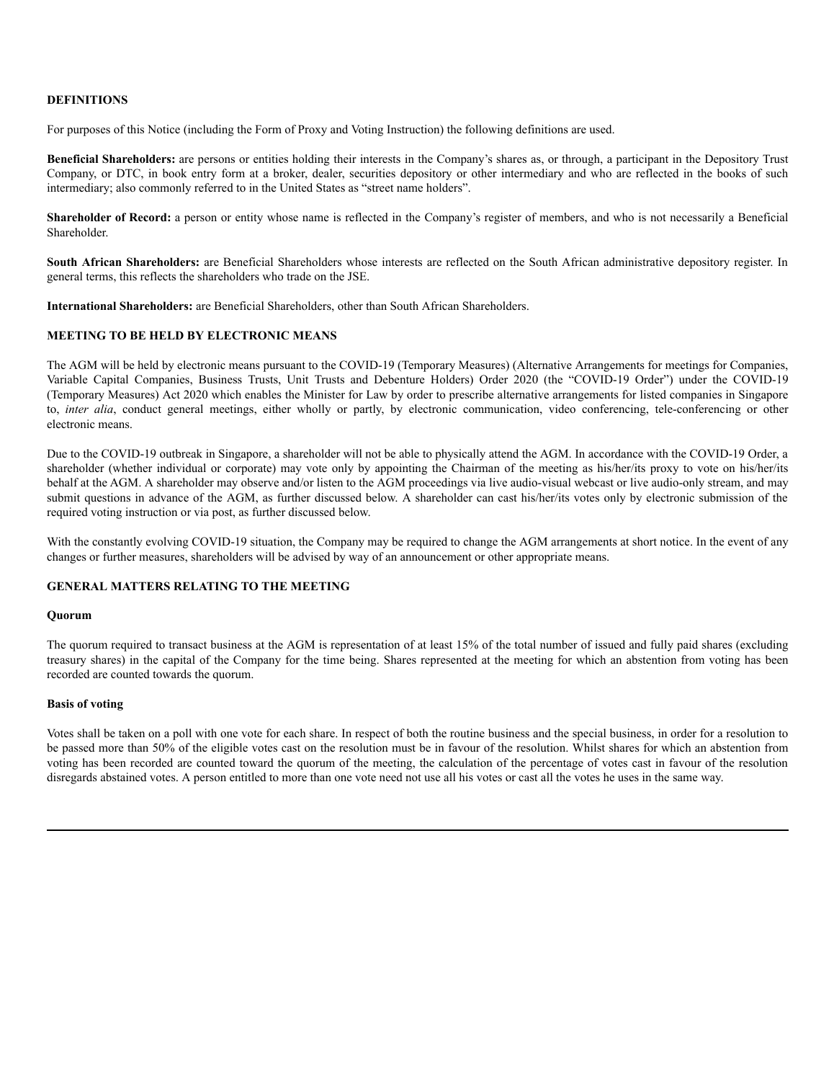# **DEFINITIONS**

For purposes of this Notice (including the Form of Proxy and Voting Instruction) the following definitions are used.

**Beneficial Shareholders:** are persons or entities holding their interests in the Company's shares as, or through, a participant in the Depository Trust Company, or DTC, in book entry form at a broker, dealer, securities depository or other intermediary and who are reflected in the books of such intermediary; also commonly referred to in the United States as "street name holders".

**Shareholder of Record:** a person or entity whose name is reflected in the Company's register of members, and who is not necessarily a Beneficial Shareholder.

**South African Shareholders:** are Beneficial Shareholders whose interests are reflected on the South African administrative depository register. In general terms, this reflects the shareholders who trade on the JSE.

**International Shareholders:** are Beneficial Shareholders, other than South African Shareholders.

# **MEETING TO BE HELD BY ELECTRONIC MEANS**

The AGM will be held by electronic means pursuant to the COVID-19 (Temporary Measures) (Alternative Arrangements for meetings for Companies, Variable Capital Companies, Business Trusts, Unit Trusts and Debenture Holders) Order 2020 (the "COVID-19 Order") under the COVID-19 (Temporary Measures) Act 2020 which enables the Minister for Law by order to prescribe alternative arrangements for listed companies in Singapore to, *inter alia*, conduct general meetings, either wholly or partly, by electronic communication, video conferencing, tele-conferencing or other electronic means.

Due to the COVID-19 outbreak in Singapore, a shareholder will not be able to physically attend the AGM. In accordance with the COVID-19 Order, a shareholder (whether individual or corporate) may vote only by appointing the Chairman of the meeting as his/her/its proxy to vote on his/her/its behalf at the AGM. A shareholder may observe and/or listen to the AGM proceedings via live audio-visual webcast or live audio-only stream, and may submit questions in advance of the AGM, as further discussed below. A shareholder can cast his/her/its votes only by electronic submission of the required voting instruction or via post, as further discussed below.

With the constantly evolving COVID-19 situation, the Company may be required to change the AGM arrangements at short notice. In the event of any changes or further measures, shareholders will be advised by way of an announcement or other appropriate means.

# **GENERAL MATTERS RELATING TO THE MEETING**

# **Quorum**

The quorum required to transact business at the AGM is representation of at least 15% of the total number of issued and fully paid shares (excluding treasury shares) in the capital of the Company for the time being. Shares represented at the meeting for which an abstention from voting has been recorded are counted towards the quorum.

# **Basis of voting**

Votes shall be taken on a poll with one vote for each share. In respect of both the routine business and the special business, in order for a resolution to be passed more than 50% of the eligible votes cast on the resolution must be in favour of the resolution. Whilst shares for which an abstention from voting has been recorded are counted toward the quorum of the meeting, the calculation of the percentage of votes cast in favour of the resolution disregards abstained votes. A person entitled to more than one vote need not use all his votes or cast all the votes he uses in the same way.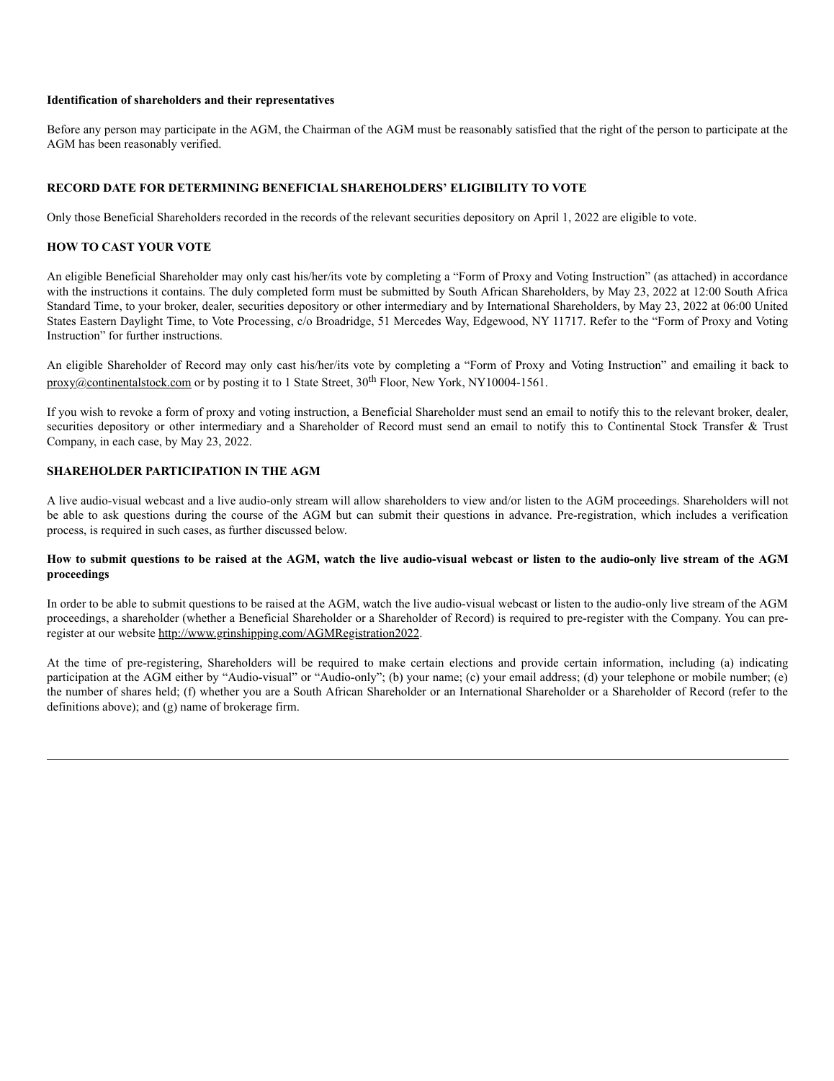## **Identification of shareholders and their representatives**

Before any person may participate in the AGM, the Chairman of the AGM must be reasonably satisfied that the right of the person to participate at the AGM has been reasonably verified.

# **RECORD DATE FOR DETERMINING BENEFICIAL SHAREHOLDERS' ELIGIBILITY TO VOTE**

Only those Beneficial Shareholders recorded in the records of the relevant securities depository on April 1, 2022 are eligible to vote.

# **HOW TO CAST YOUR VOTE**

An eligible Beneficial Shareholder may only cast his/her/its vote by completing a "Form of Proxy and Voting Instruction" (as attached) in accordance with the instructions it contains. The duly completed form must be submitted by South African Shareholders, by May 23, 2022 at 12:00 South Africa Standard Time, to your broker, dealer, securities depository or other intermediary and by International Shareholders, by May 23, 2022 at 06:00 United States Eastern Daylight Time, to Vote Processing, c/o Broadridge, 51 Mercedes Way, Edgewood, NY 11717. Refer to the "Form of Proxy and Voting Instruction" for further instructions.

An eligible Shareholder of Record may only cast his/her/its vote by completing a "Form of Proxy and Voting Instruction" and emailing it back to proxy@continentalstock.com or by posting it to 1 State Street,  $30<sup>th</sup>$  Floor, New York, NY10004-1561.

If you wish to revoke a form of proxy and voting instruction, a Beneficial Shareholder must send an email to notify this to the relevant broker, dealer, securities depository or other intermediary and a Shareholder of Record must send an email to notify this to Continental Stock Transfer & Trust Company, in each case, by May 23, 2022.

# **SHAREHOLDER PARTICIPATION IN THE AGM**

A live audio-visual webcast and a live audio-only stream will allow shareholders to view and/or listen to the AGM proceedings. Shareholders will not be able to ask questions during the course of the AGM but can submit their questions in advance. Pre-registration, which includes a verification process, is required in such cases, as further discussed below.

# **How to submit questions to be raised at the AGM, watch the live audio-visual webcast or listen to the audio-only live stream of the AGM proceedings**

In order to be able to submit questions to be raised at the AGM, watch the live audio-visual webcast or listen to the audio-only live stream of the AGM proceedings, a shareholder (whether a Beneficial Shareholder or a Shareholder of Record) is required to pre-register with the Company. You can preregister at our website http://www.grinshipping.com/AGMRegistration2022.

At the time of pre-registering, Shareholders will be required to make certain elections and provide certain information, including (a) indicating participation at the AGM either by "Audio-visual" or "Audio-only"; (b) your name; (c) your email address; (d) your telephone or mobile number; (e) the number of shares held; (f) whether you are a South African Shareholder or an International Shareholder or a Shareholder of Record (refer to the definitions above); and (g) name of brokerage firm.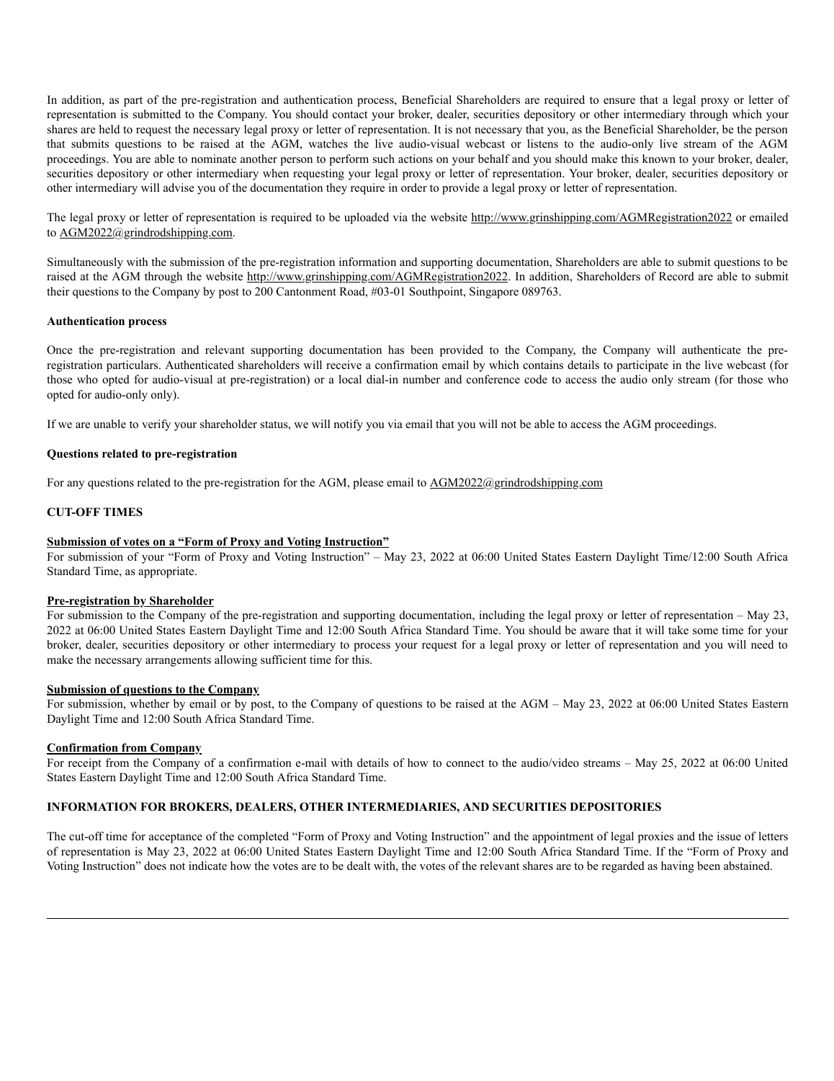In addition, as part of the pre-registration and authentication process, Beneficial Shareholders are required to ensure that a legal proxy or letter of representation is submitted to the Company. You should contact your broker, dealer, securities depository or other intermediary through which your shares are held to request the necessary legal proxy or letter of representation. It is not necessary that you, as the Beneficial Shareholder, be the person that submits questions to be raised at the AGM, watches the live audio-visual webcast or listens to the audio-only live stream of the AGM proceedings. You are able to nominate another person to perform such actions on your behalf and you should make this known to your broker, dealer, securities depository or other intermediary when requesting your legal proxy or letter of representation. Your broker, dealer, securities depository or other intermediary will advise you of the documentation they require in order to provide a legal proxy or letter of representation.

The legal proxy or letter of representation is required to be uploaded via the website http://www.grinshipping.com/AGMRegistration2022 or emailed to AGM2022@grindrodshipping.com.

Simultaneously with the submission of the pre-registration information and supporting documentation, Shareholders are able to submit questions to be raised at the AGM through the website http://www.grinshipping.com/AGMRegistration2022. In addition, Shareholders of Record are able to submit their questions to the Company by post to 200 Cantonment Road, #03-01 Southpoint, Singapore 089763.

# **Authentication process**

Once the pre-registration and relevant supporting documentation has been provided to the Company, the Company will authenticate the preregistration particulars. Authenticated shareholders will receive a confirmation email by which contains details to participate in the live webcast (for those who opted for audio-visual at pre-registration) or a local dial-in number and conference code to access the audio only stream (for those who opted for audio-only only).

If we are unable to verify your shareholder status, we will notify you via email that you will not be able to access the AGM proceedings.

# **Questions related to pre-registration**

For any questions related to the pre-registration for the AGM, please email to AGM2022@grindrodshipping.com

# **CUT-OFF TIMES**

# **Submission of votes on a "Form of Proxy and Voting Instruction"**

For submission of your "Form of Proxy and Voting Instruction" – May 23, 2022 at 06:00 United States Eastern Daylight Time/12:00 South Africa Standard Time, as appropriate.

## **Pre-registration by Shareholder**

For submission to the Company of the pre-registration and supporting documentation, including the legal proxy or letter of representation – May 23, 2022 at 06:00 United States Eastern Daylight Time and 12:00 South Africa Standard Time. You should be aware that it will take some time for your broker, dealer, securities depository or other intermediary to process your request for a legal proxy or letter of representation and you will need to make the necessary arrangements allowing sufficient time for this.

## **Submission of questions to the Company**

For submission, whether by email or by post, to the Company of questions to be raised at the AGM – May 23, 2022 at 06:00 United States Eastern Daylight Time and 12:00 South Africa Standard Time.

# **Confirmation from Company**

For receipt from the Company of a confirmation e-mail with details of how to connect to the audio/video streams – May 25, 2022 at 06:00 United States Eastern Daylight Time and 12:00 South Africa Standard Time.

# **INFORMATION FOR BROKERS, DEALERS, OTHER INTERMEDIARIES, AND SECURITIES DEPOSITORIES**

The cut-off time for acceptance of the completed "Form of Proxy and Voting Instruction" and the appointment of legal proxies and the issue of letters of representation is May 23, 2022 at 06:00 United States Eastern Daylight Time and 12:00 South Africa Standard Time. If the "Form of Proxy and Voting Instruction" does not indicate how the votes are to be dealt with, the votes of the relevant shares are to be regarded as having been abstained.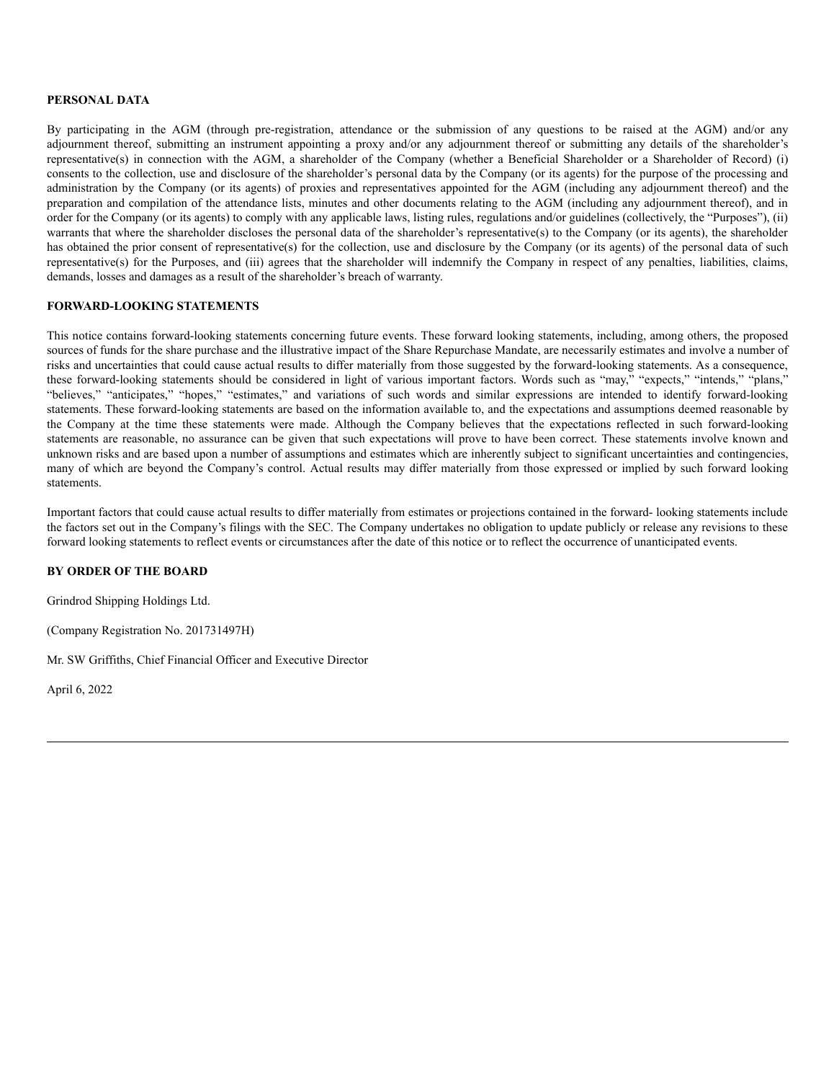# **PERSONAL DATA**

By participating in the AGM (through pre-registration, attendance or the submission of any questions to be raised at the AGM) and/or any adjournment thereof, submitting an instrument appointing a proxy and/or any adjournment thereof or submitting any details of the shareholder's representative(s) in connection with the AGM, a shareholder of the Company (whether a Beneficial Shareholder or a Shareholder of Record) (i) consents to the collection, use and disclosure of the shareholder's personal data by the Company (or its agents) for the purpose of the processing and administration by the Company (or its agents) of proxies and representatives appointed for the AGM (including any adjournment thereof) and the preparation and compilation of the attendance lists, minutes and other documents relating to the AGM (including any adjournment thereof), and in order for the Company (or its agents) to comply with any applicable laws, listing rules, regulations and/or guidelines (collectively, the "Purposes"), (ii) warrants that where the shareholder discloses the personal data of the shareholder's representative(s) to the Company (or its agents), the shareholder has obtained the prior consent of representative(s) for the collection, use and disclosure by the Company (or its agents) of the personal data of such representative(s) for the Purposes, and (iii) agrees that the shareholder will indemnify the Company in respect of any penalties, liabilities, claims, demands, losses and damages as a result of the shareholder's breach of warranty.

# **FORWARD-LOOKING STATEMENTS**

This notice contains forward-looking statements concerning future events. These forward looking statements, including, among others, the proposed sources of funds for the share purchase and the illustrative impact of the Share Repurchase Mandate, are necessarily estimates and involve a number of risks and uncertainties that could cause actual results to differ materially from those suggested by the forward-looking statements. As a consequence, these forward-looking statements should be considered in light of various important factors. Words such as "may," "expects," "intends," "plans," "believes," "anticipates," "hopes," "estimates," and variations of such words and similar expressions are intended to identify forward-looking statements. These forward-looking statements are based on the information available to, and the expectations and assumptions deemed reasonable by the Company at the time these statements were made. Although the Company believes that the expectations reflected in such forward-looking statements are reasonable, no assurance can be given that such expectations will prove to have been correct. These statements involve known and unknown risks and are based upon a number of assumptions and estimates which are inherently subject to significant uncertainties and contingencies, many of which are beyond the Company's control. Actual results may differ materially from those expressed or implied by such forward looking statements.

Important factors that could cause actual results to differ materially from estimates or projections contained in the forward- looking statements include the factors set out in the Company's filings with the SEC. The Company undertakes no obligation to update publicly or release any revisions to these forward looking statements to reflect events or circumstances after the date of this notice or to reflect the occurrence of unanticipated events.

# **BY ORDER OF THE BOARD**

Grindrod Shipping Holdings Ltd.

(Company Registration No. 201731497H)

Mr. SW Griffiths, Chief Financial Officer and Executive Director

April 6, 2022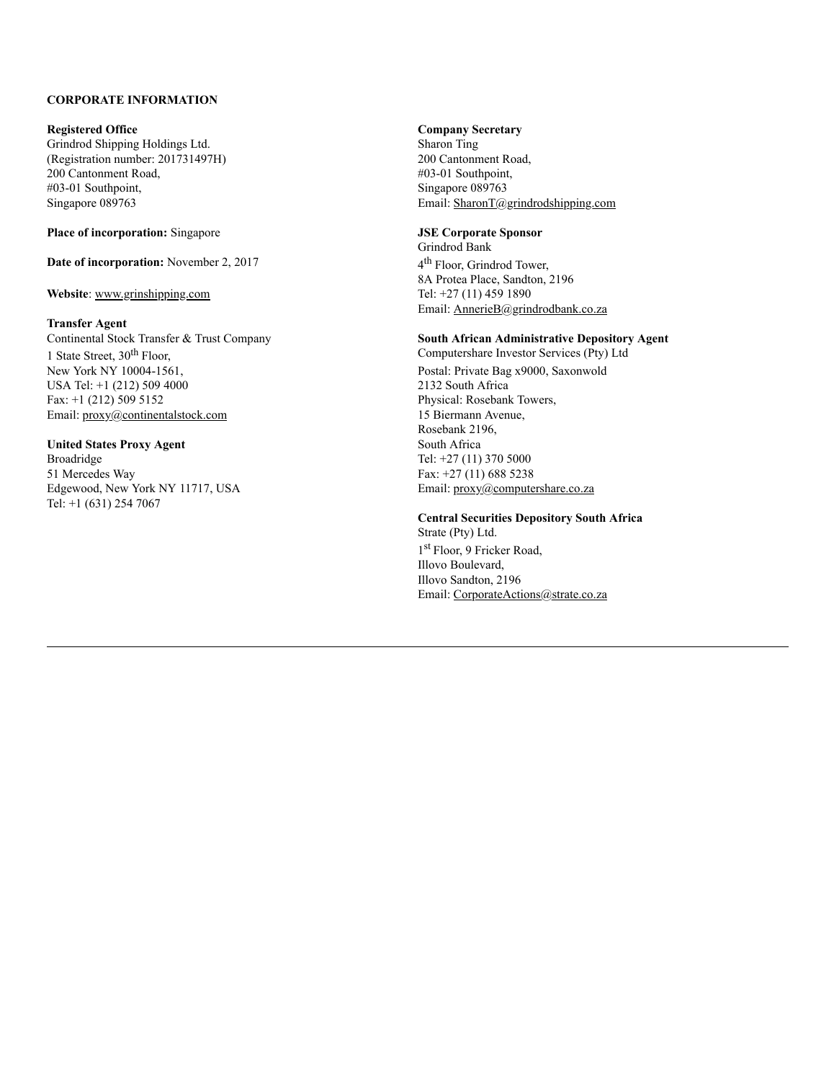# **CORPORATE INFORMATION**

**Registered Office Company Secretary**<br> **Company Secretary**<br> **Company Secretary**<br> **Company Secretary** Grindrod Shipping Holdings Ltd. (Registration number: 201731497H) 200 Cantonment Road, 200 Cantonment Road,  $#03-01$  Southpoint, #03-01 Southpoint,<br>
Singapore 089763<br>
Email: SharonT@g

# **Place of incorporation:** Singapore **JSE Corporate Sponsor**

**Date of incorporation:** November 2, 2017

# **Website**: www.grinshipping.com Tel: +27 (11) 459 1890

**Transfer Agent** 1 State Street, 30<sup>th</sup> Floor. New York NY 10004-1561, Postal: Private Bag x9000, Saxonwold USA Tel: +1 (212) 509 4000 2132 South Africa Fax: +1 (212) 509 5152 Physical: Rosebank Towers, Email: proxy@continentalstock.com 15 Biermann Avenue,

# **United States Proxy Agent** South Africa

51 Mercedes Way Fax: +27 (11) 688 5238 Edgewood, New York NY 11717, USA Email: proxy@computershare.co.za Tel: +1 (631) 254 7067

Email: SharonT@grindrodshipping.com

Grindrod Bank 4<sup>th</sup> Floor, Grindrod Tower, 8A Protea Place, Sandton, 2196 Email: AnnerieB@grindrodbank.co.za

# **South African Administrative Depository Agent**

Computershare Investor Services (Pty) Ltd Rosebank 2196, Broadridge Tel: +27 (11) 370 5000

# **Central Securities Depository South Africa**

Strate (Pty) Ltd. 1 st Floor, 9 Fricker Road, Illovo Boulevard, Illovo Sandton, 2196 Email: CorporateActions@strate.co.za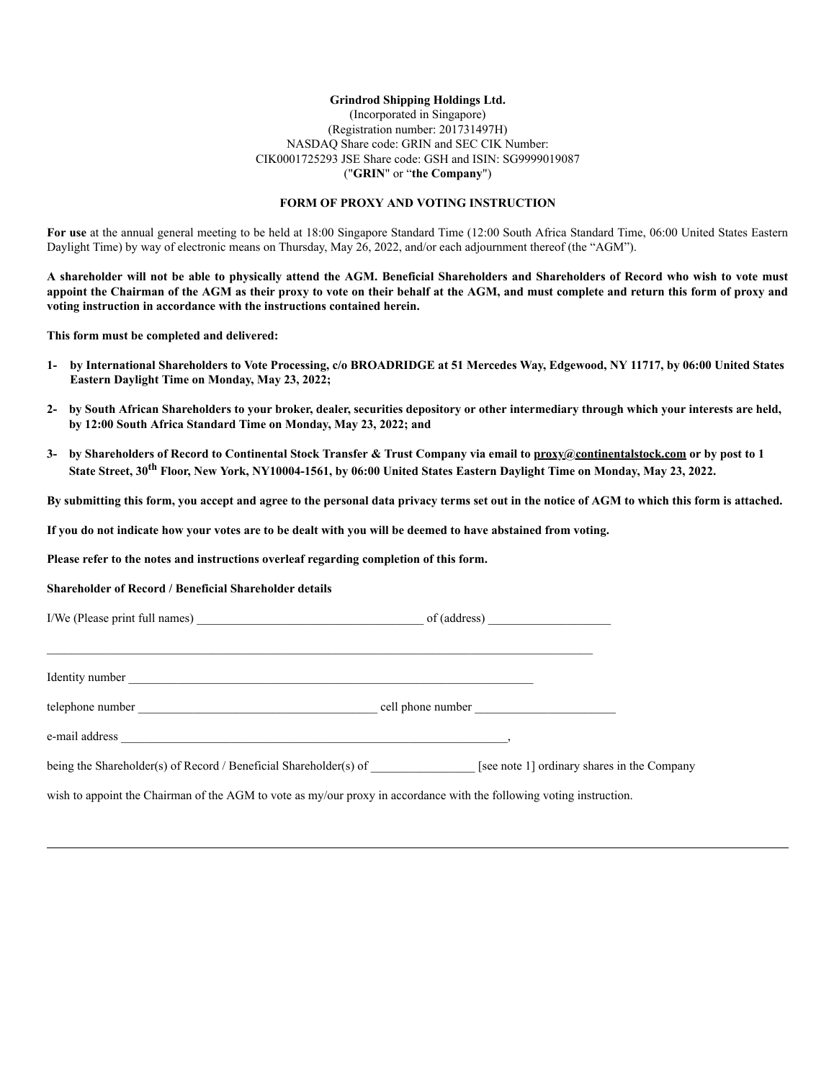# **Grindrod Shipping Holdings Ltd.**

(Incorporated in Singapore) (Registration number: 201731497H) NASDAQ Share code: GRIN and SEC CIK Number: CIK0001725293 JSE Share code: GSH and ISIN: SG9999019087 ("**GRIN**" or "**the Company**")

# **FORM OF PROXY AND VOTING INSTRUCTION**

For use at the annual general meeting to be held at 18:00 Singapore Standard Time (12:00 South Africa Standard Time, 06:00 United States Eastern Daylight Time) by way of electronic means on Thursday, May 26, 2022, and/or each adjournment thereof (the "AGM").

A shareholder will not be able to physically attend the AGM. Beneficial Shareholders and Shareholders of Record who wish to vote must appoint the Chairman of the AGM as their proxy to vote on their behalf at the AGM, and must complete and return this form of proxy and **voting instruction in accordance with the instructions contained herein.**

**This form must be completed and delivered:**

- 1- by International Shareholders to Vote Processing, c/o BROADRIDGE at 51 Mercedes Way, Edgewood, NY 11717, by 06:00 United States **Eastern Daylight Time on Monday, May 23, 2022;**
- 2- by South African Shareholders to your broker, dealer, securities depository or other intermediary through which your interests are held, **by 12:00 South Africa Standard Time on Monday, May 23, 2022; and**
- 3- by Shareholders of Record to Continental Stock Transfer & Trust Company via email to proxy@continentalstock.com or by post to 1 State Street, 30<sup>th</sup> Floor, New York, NY10004-1561, by 06:00 United States Eastern Daylight Time on Monday, May 23, 2022.

By submitting this form, you accept and agree to the personal data privacy terms set out in the notice of AGM to which this form is attached.

If you do not indicate how your votes are to be dealt with you will be deemed to have abstained from voting.

**Please refer to the notes and instructions overleaf regarding completion of this form.**

**Shareholder of Record / Beneficial Shareholder details**

|                                                                                                                      | of (address)                                |  |
|----------------------------------------------------------------------------------------------------------------------|---------------------------------------------|--|
|                                                                                                                      |                                             |  |
|                                                                                                                      |                                             |  |
| telephone number and the state of the state of the state of the state of the state of the state of the state o       | cell phone number                           |  |
| e-mail address                                                                                                       |                                             |  |
| being the Shareholder(s) of Record / Beneficial Shareholder(s) of                                                    | [see note 1] ordinary shares in the Company |  |
| wish to appoint the Chairman of the AGM to vote as my/our proxy in accordance with the following voting instruction. |                                             |  |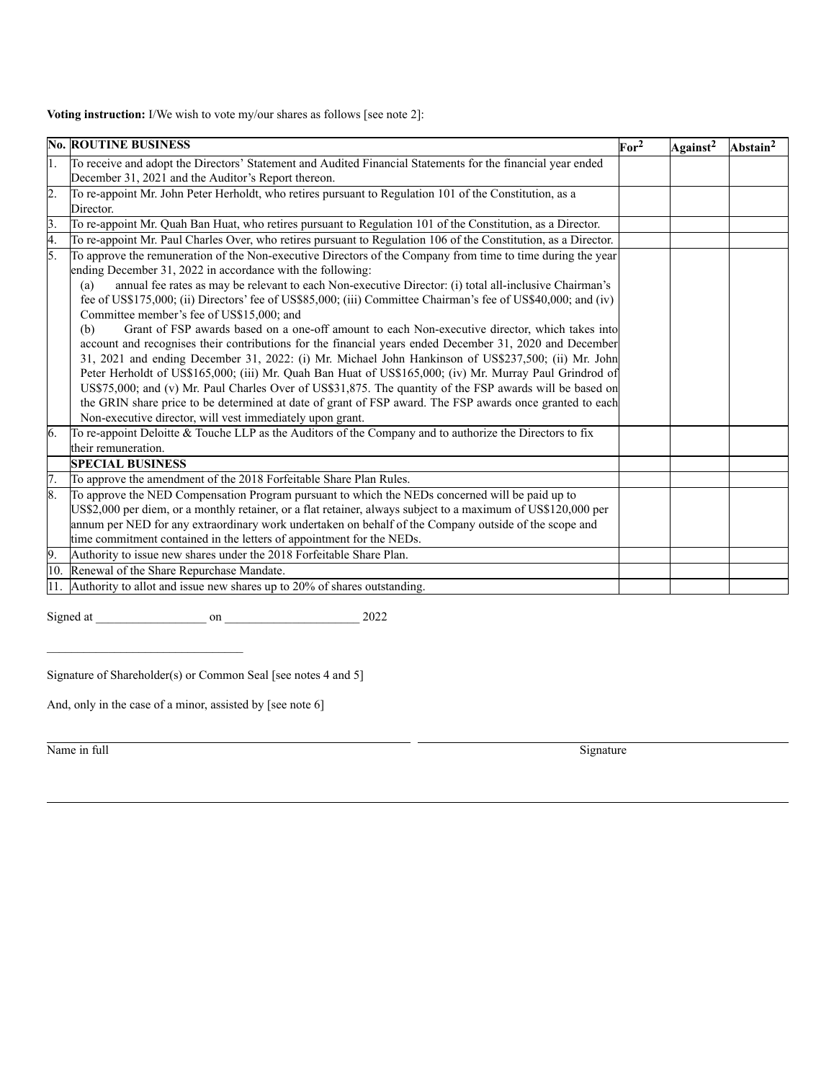**Voting instruction:** I/We wish to vote my/our shares as follows [see note 2]:

|                  | <b>No. ROUTINE BUSINESS</b>                                                                                                                                                                                                                                                                                                                                                                                                                                                                                                                                                                                                                                                                                                                                                                                                                                                                                                                                                                                                                                                                                                                                                         | For <sup>2</sup> | Against <sup>2</sup> | Abstain <sup>2</sup> |
|------------------|-------------------------------------------------------------------------------------------------------------------------------------------------------------------------------------------------------------------------------------------------------------------------------------------------------------------------------------------------------------------------------------------------------------------------------------------------------------------------------------------------------------------------------------------------------------------------------------------------------------------------------------------------------------------------------------------------------------------------------------------------------------------------------------------------------------------------------------------------------------------------------------------------------------------------------------------------------------------------------------------------------------------------------------------------------------------------------------------------------------------------------------------------------------------------------------|------------------|----------------------|----------------------|
| 1.               | To receive and adopt the Directors' Statement and Audited Financial Statements for the financial year ended<br>December 31, 2021 and the Auditor's Report thereon.                                                                                                                                                                                                                                                                                                                                                                                                                                                                                                                                                                                                                                                                                                                                                                                                                                                                                                                                                                                                                  |                  |                      |                      |
| $\overline{2}$ . | To re-appoint Mr. John Peter Herholdt, who retires pursuant to Regulation 101 of the Constitution, as a<br>Director.                                                                                                                                                                                                                                                                                                                                                                                                                                                                                                                                                                                                                                                                                                                                                                                                                                                                                                                                                                                                                                                                |                  |                      |                      |
| 3.               | To re-appoint Mr. Quah Ban Huat, who retires pursuant to Regulation 101 of the Constitution, as a Director.                                                                                                                                                                                                                                                                                                                                                                                                                                                                                                                                                                                                                                                                                                                                                                                                                                                                                                                                                                                                                                                                         |                  |                      |                      |
| 4.               | To re-appoint Mr. Paul Charles Over, who retires pursuant to Regulation 106 of the Constitution, as a Director.                                                                                                                                                                                                                                                                                                                                                                                                                                                                                                                                                                                                                                                                                                                                                                                                                                                                                                                                                                                                                                                                     |                  |                      |                      |
| 5.               | To approve the remuneration of the Non-executive Directors of the Company from time to time during the year<br>ending December 31, 2022 in accordance with the following:<br>annual fee rates as may be relevant to each Non-executive Director: (i) total all-inclusive Chairman's<br>(a)<br>fee of US\$175,000; (ii) Directors' fee of US\$85,000; (iii) Committee Chairman's fee of US\$40,000; and (iv)<br>Committee member's fee of US\$15,000; and<br>Grant of FSP awards based on a one-off amount to each Non-executive director, which takes into<br>(b)<br>account and recognises their contributions for the financial years ended December 31, 2020 and December<br>31, 2021 and ending December 31, 2022: (i) Mr. Michael John Hankinson of US\$237,500; (ii) Mr. John<br>Peter Herholdt of US\$165,000; (iii) Mr. Quah Ban Huat of US\$165,000; (iv) Mr. Murray Paul Grindrod of<br>US\$75,000; and (v) Mr. Paul Charles Over of US\$31,875. The quantity of the FSP awards will be based on<br>the GRIN share price to be determined at date of grant of FSP award. The FSP awards once granted to each<br>Non-executive director, will vest immediately upon grant. |                  |                      |                      |
| 6.               | To re-appoint Deloitte & Touche LLP as the Auditors of the Company and to authorize the Directors to fix<br>their remuneration.<br><b>SPECIAL BUSINESS</b>                                                                                                                                                                                                                                                                                                                                                                                                                                                                                                                                                                                                                                                                                                                                                                                                                                                                                                                                                                                                                          |                  |                      |                      |
| $\overline{7}$ . | To approve the amendment of the 2018 Forfeitable Share Plan Rules.                                                                                                                                                                                                                                                                                                                                                                                                                                                                                                                                                                                                                                                                                                                                                                                                                                                                                                                                                                                                                                                                                                                  |                  |                      |                      |
| 8.               | To approve the NED Compensation Program pursuant to which the NEDs concerned will be paid up to<br>US\$2,000 per diem, or a monthly retainer, or a flat retainer, always subject to a maximum of US\$120,000 per<br>annum per NED for any extraordinary work undertaken on behalf of the Company outside of the scope and<br>time commitment contained in the letters of appointment for the NEDs.                                                                                                                                                                                                                                                                                                                                                                                                                                                                                                                                                                                                                                                                                                                                                                                  |                  |                      |                      |
| 9.               | Authority to issue new shares under the 2018 Forfeitable Share Plan.                                                                                                                                                                                                                                                                                                                                                                                                                                                                                                                                                                                                                                                                                                                                                                                                                                                                                                                                                                                                                                                                                                                |                  |                      |                      |
| 10.              | Renewal of the Share Repurchase Mandate.                                                                                                                                                                                                                                                                                                                                                                                                                                                                                                                                                                                                                                                                                                                                                                                                                                                                                                                                                                                                                                                                                                                                            |                  |                      |                      |
| 11.              | Authority to allot and issue new shares up to 20% of shares outstanding.                                                                                                                                                                                                                                                                                                                                                                                                                                                                                                                                                                                                                                                                                                                                                                                                                                                                                                                                                                                                                                                                                                            |                  |                      |                      |

Signed at \_\_\_\_\_\_\_\_\_\_\_\_\_\_\_\_\_\_ on \_\_\_\_\_\_\_\_\_\_\_\_\_\_\_\_\_\_\_\_\_\_ 2022

Signature of Shareholder(s) or Common Seal [see notes 4 and 5]

And, only in the case of a minor, assisted by [see note 6]

 $\mathcal{L}_\text{max}$ 

Name in full Signature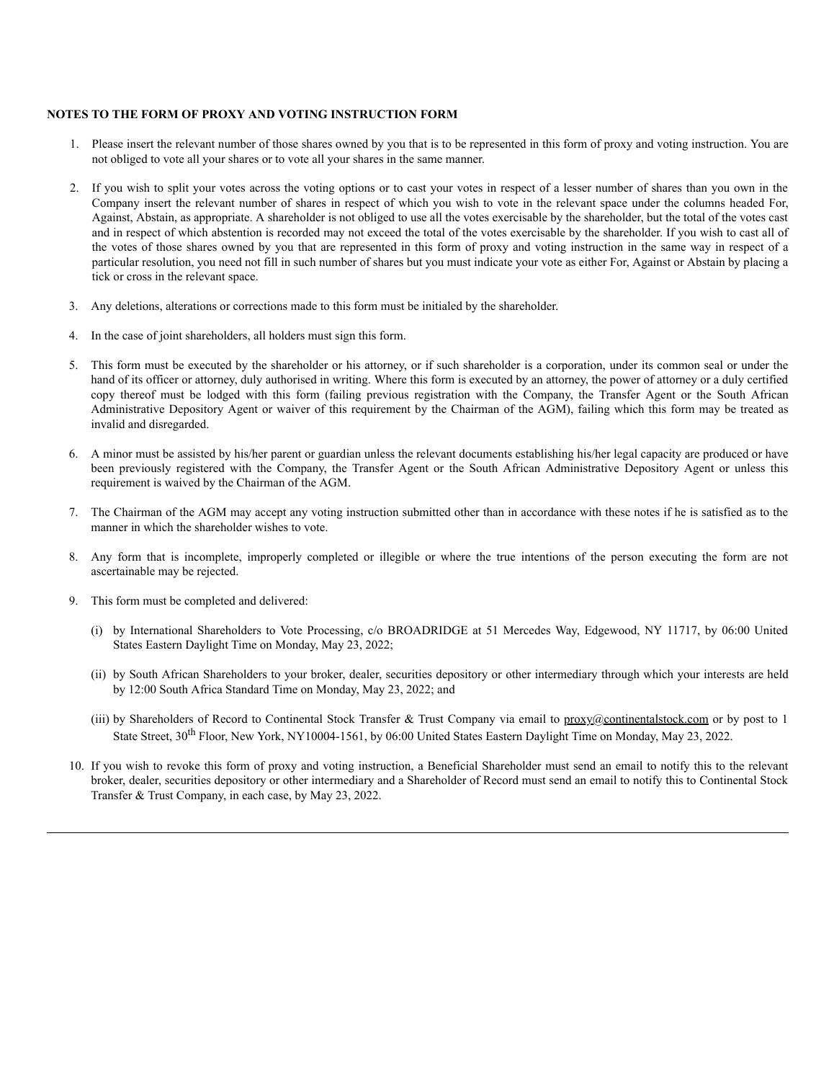# **NOTES TO THE FORM OF PROXY AND VOTING INSTRUCTION FORM**

- 1. Please insert the relevant number of those shares owned by you that is to be represented in this form of proxy and voting instruction. You are not obliged to vote all your shares or to vote all your shares in the same manner.
- 2. If you wish to split your votes across the voting options or to cast your votes in respect of a lesser number of shares than you own in the Company insert the relevant number of shares in respect of which you wish to vote in the relevant space under the columns headed For, Against, Abstain, as appropriate. A shareholder is not obliged to use all the votes exercisable by the shareholder, but the total of the votes cast and in respect of which abstention is recorded may not exceed the total of the votes exercisable by the shareholder. If you wish to cast all of the votes of those shares owned by you that are represented in this form of proxy and voting instruction in the same way in respect of a particular resolution, you need not fill in such number of shares but you must indicate your vote as either For, Against or Abstain by placing a tick or cross in the relevant space.
- 3. Any deletions, alterations or corrections made to this form must be initialed by the shareholder.
- 4. In the case of joint shareholders, all holders must sign this form.
- 5. This form must be executed by the shareholder or his attorney, or if such shareholder is a corporation, under its common seal or under the hand of its officer or attorney, duly authorised in writing. Where this form is executed by an attorney, the power of attorney or a duly certified copy thereof must be lodged with this form (failing previous registration with the Company, the Transfer Agent or the South African Administrative Depository Agent or waiver of this requirement by the Chairman of the AGM), failing which this form may be treated as invalid and disregarded.
- 6. A minor must be assisted by his/her parent or guardian unless the relevant documents establishing his/her legal capacity are produced or have been previously registered with the Company, the Transfer Agent or the South African Administrative Depository Agent or unless this requirement is waived by the Chairman of the AGM.
- 7. The Chairman of the AGM may accept any voting instruction submitted other than in accordance with these notes if he is satisfied as to the manner in which the shareholder wishes to vote.
- 8. Any form that is incomplete, improperly completed or illegible or where the true intentions of the person executing the form are not ascertainable may be rejected.
- 9. This form must be completed and delivered:
	- (i) by International Shareholders to Vote Processing, c/o BROADRIDGE at 51 Mercedes Way, Edgewood, NY 11717, by 06:00 United States Eastern Daylight Time on Monday, May 23, 2022;
	- (ii) by South African Shareholders to your broker, dealer, securities depository or other intermediary through which your interests are held by 12:00 South Africa Standard Time on Monday, May 23, 2022; and
	- (iii) by Shareholders of Record to Continental Stock Transfer & Trust Company via email to proxy@continentalstock.com or by post to 1 State Street, 30<sup>th</sup> Floor, New York, NY10004-1561, by 06:00 United States Eastern Daylight Time on Monday, May 23, 2022.
- 10. If you wish to revoke this form of proxy and voting instruction, a Beneficial Shareholder must send an email to notify this to the relevant broker, dealer, securities depository or other intermediary and a Shareholder of Record must send an email to notify this to Continental Stock Transfer & Trust Company, in each case, by May 23, 2022.